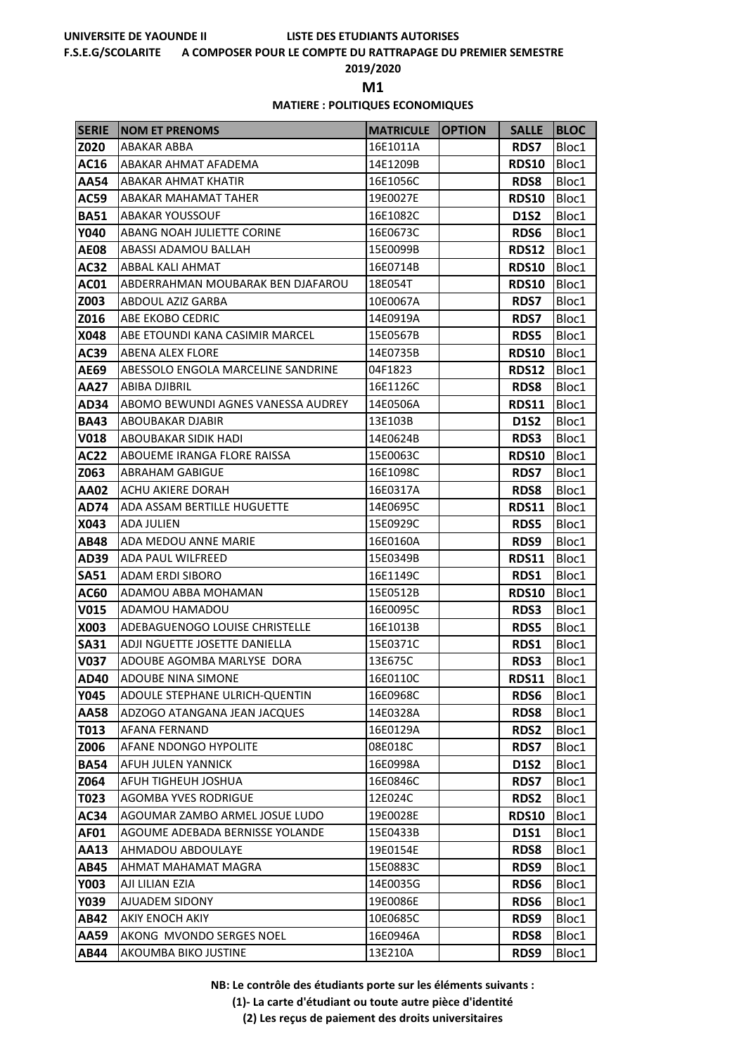### **F.S.E.G/SCOLARITE A COMPOSER POUR LE COMPTE DU RATTRAPAGE DU PREMIER SEMESTRE**

**2019/2020**

**M1** 

### **MATIERE : POLITIQUES ECONOMIQUES**

| <b>SERIE</b> | <b>NOM ET PRENOMS</b>                            | <b>MATRICULE</b>     | <b>OPTION</b> | <b>SALLE</b>        | <b>BLOC</b>    |
|--------------|--------------------------------------------------|----------------------|---------------|---------------------|----------------|
| Z020         | ABAKAR ABBA                                      | 16E1011A             |               | <b>RDS7</b>         | Bloc1          |
| AC16         | ABAKAR AHMAT AFADEMA                             | 14E1209B             |               | <b>RDS10</b>        | Bloc1          |
| AA54         | ABAKAR AHMAT KHATIR                              | 16E1056C             |               | <b>RDS8</b>         | Bloc1          |
| AC59         | ABAKAR MAHAMAT TAHER                             | 19E0027E             |               | <b>RDS10</b>        | Bloc1          |
| <b>BA51</b>  | <b>ABAKAR YOUSSOUF</b>                           | 16E1082C             |               | <b>D1S2</b>         | Bloc1          |
| Y040         | ABANG NOAH JULIETTE CORINE                       | 16E0673C             |               | <b>RDS6</b>         | Bloc1          |
| <b>AE08</b>  | ABASSI ADAMOU BALLAH                             | 15E0099B             |               | <b>RDS12</b>        | Bloc1          |
| AC32         | ABBAL KALI AHMAT                                 | 16E0714B             |               | <b>RDS10</b>        | Bloc1          |
| AC01         | ABDERRAHMAN MOUBARAK BEN DJAFAROU                | 18E054T              |               | <b>RDS10</b>        | Bloc1          |
| Z003         | ABDOUL AZIZ GARBA                                | 10E0067A             |               | <b>RDS7</b>         | Bloc1          |
| Z016         | ABE EKOBO CEDRIC                                 | 14E0919A             |               | <b>RDS7</b>         | Bloc1          |
| X048         | ABE ETOUNDI KANA CASIMIR MARCEL                  | 15E0567B             |               | <b>RDS5</b>         | Bloc1          |
| <b>AC39</b>  | <b>ABENA ALEX FLORE</b>                          | 14E0735B             |               | <b>RDS10</b>        | Bloc1          |
| AE69         | ABESSOLO ENGOLA MARCELINE SANDRINE               | 04F1823              |               | <b>RDS12</b>        | Bloc1          |
| AA27         | ABIBA DJIBRIL                                    | 16E1126C             |               | <b>RDS8</b>         | Bloc1          |
| AD34         | ABOMO BEWUNDI AGNES VANESSA AUDREY               | 14E0506A             |               | RDS11               | Bloc1          |
| <b>BA43</b>  | ABOUBAKAR DJABIR                                 | 13E103B              |               | <b>D1S2</b>         | Bloc1          |
| <b>V018</b>  | ABOUBAKAR SIDIK HADI                             | 14E0624B             |               | <b>RDS3</b>         | Bloc1          |
| <b>AC22</b>  | ABOUEME IRANGA FLORE RAISSA                      | 15E0063C             |               | <b>RDS10</b>        | Bloc1          |
| Z063         | <b>ABRAHAM GABIGUE</b>                           | 16E1098C             |               | <b>RDS7</b>         | Bloc1          |
| <b>AA02</b>  | ACHU AKIERE DORAH                                | 16E0317A             |               | <b>RDS8</b>         | Bloc1          |
| AD74         | ADA ASSAM BERTILLE HUGUETTE<br><b>ADA JULIEN</b> | 14E0695C             |               | <b>RDS11</b>        | Bloc1          |
| X043<br>AB48 | ADA MEDOU ANNE MARIE                             | 15E0929C<br>16E0160A |               | <b>RDS5</b><br>RDS9 | Bloc1<br>Bloc1 |
| AD39         | ADA PAUL WILFREED                                | 15E0349B             |               | <b>RDS11</b>        | Bloc1          |
| <b>SA51</b>  | <b>ADAM ERDI SIBORO</b>                          | 16E1149C             |               | RDS1                | Bloc1          |
| AC60         | ADAMOU ABBA MOHAMAN                              | 15E0512B             |               | <b>RDS10</b>        | Bloc1          |
| V015         | ADAMOU HAMADOU                                   | 16E0095C             |               | <b>RDS3</b>         | Bloc1          |
| X003         | ADEBAGUENOGO LOUISE CHRISTELLE                   | 16E1013B             |               | <b>RDS5</b>         | Bloc1          |
| <b>SA31</b>  | ADJI NGUETTE JOSETTE DANIELLA                    | 15E0371C             |               | <b>RDS1</b>         | Bloc1          |
| V037         | ADOUBE AGOMBA MARLYSE DORA                       | 13E675C              |               | <b>RDS3</b>         | Bloc1          |
| AD40         | <b>ADOUBE NINA SIMONE</b>                        | 16E0110C             |               | <b>RDS11</b>        | Bloc1          |
| Y045         | ADOULE STEPHANE ULRICH-QUENTIN                   | 16E0968C             |               | RDS6                | Bloc1          |
| <b>AA58</b>  | ADZOGO ATANGANA JEAN JACQUES                     | 14E0328A             |               | RDS8                | Bloc1          |
| T013         | AFANA FERNAND                                    | 16E0129A             |               | <b>RDS2</b>         | Bloc1          |
| Z006         | AFANE NDONGO HYPOLITE                            | 08E018C              |               | <b>RDS7</b>         | Bloc1          |
| <b>BA54</b>  | AFUH JULEN YANNICK                               | 16E0998A             |               | <b>D1S2</b>         | Bloc1          |
| Z064         | AFUH TIGHEUH JOSHUA                              | 16E0846C             |               | <b>RDS7</b>         | Bloc1          |
| T023         | <b>AGOMBA YVES RODRIGUE</b>                      | 12E024C              |               | RDS2                | Bloc1          |
| AC34         | AGOUMAR ZAMBO ARMEL JOSUE LUDO                   | 19E0028E             |               | <b>RDS10</b>        | Bloc1          |
| AF01         | AGOUME ADEBADA BERNISSE YOLANDE                  | 15E0433B             |               | D1S1                | Bloc1          |
| AA13         | AHMADOU ABDOULAYE                                | 19E0154E             |               | <b>RDS8</b>         | Bloc1          |
| AB45         | AHMAT MAHAMAT MAGRA                              | 15E0883C             |               | RDS9                | Bloc1          |
| Y003         | AJI LILIAN EZIA                                  | 14E0035G             |               | <b>RDS6</b>         | Bloc1          |
| Y039         | AJUADEM SIDONY                                   | 19E0086E             |               | <b>RDS6</b>         | Bloc1          |
| <b>AB42</b>  | AKIY ENOCH AKIY                                  | 10E0685C             |               | RDS9                | Bloc1          |
| AA59         | AKONG MVONDO SERGES NOEL                         | 16E0946A             |               | <b>RDS8</b>         | Bloc1          |
| AB44         | AKOUMBA BIKO JUSTINE                             | 13E210A              |               | RDS9                | Bloc1          |

**NB: Le contrôle des étudiants porte sur les éléments suivants :**

**(1)- La carte d'étudiant ou toute autre pièce d'identité**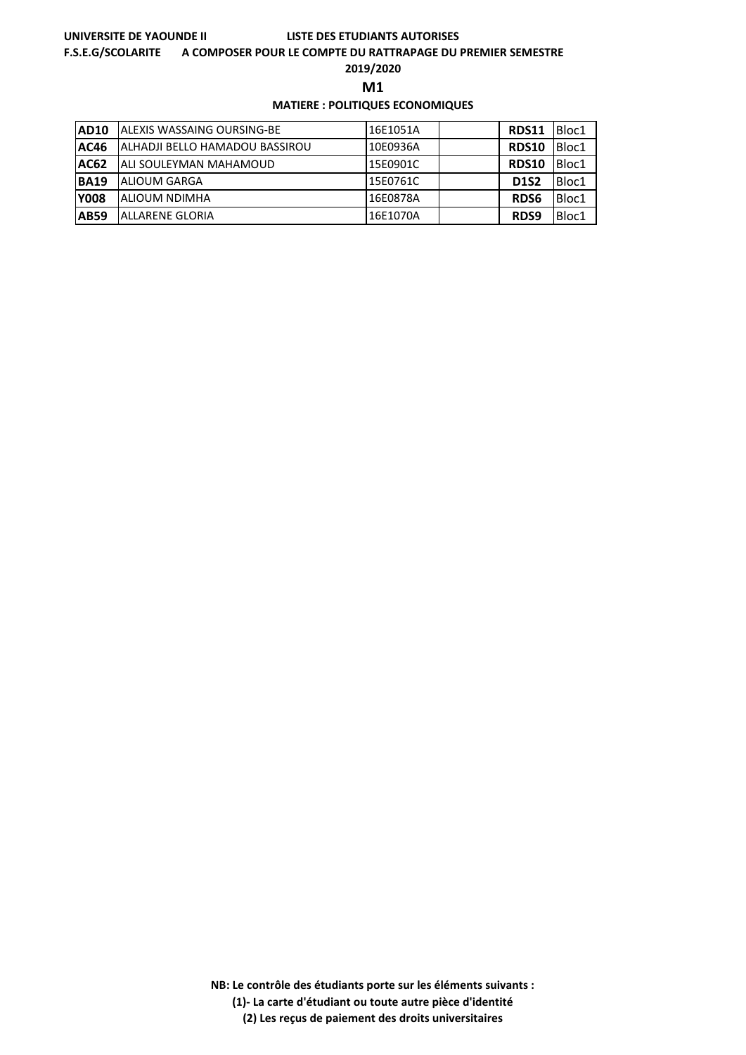### **F.S.E.G/SCOLARITE A COMPOSER POUR LE COMPTE DU RATTRAPAGE DU PREMIER SEMESTRE**

**2019/2020**

**M1** 

## **MATIERE : POLITIQUES ECONOMIQUES**

| <b>AD10</b> | <b>JALEXIS WASSAING OURSING-BE</b> | 16E1051A | <b>RDS11</b> | Bloc1 |
|-------------|------------------------------------|----------|--------------|-------|
| <b>AC46</b> | ALHADJI BELLO HAMADOU BASSIROU     | 10E0936A | <b>RDS10</b> | Bloc1 |
| <b>AC62</b> | <b>JALI SOULEYMAN MAHAMOUD</b>     | 15E0901C | <b>RDS10</b> | Bloc1 |
| <b>BA19</b> | <b>ALIOUM GARGA</b>                | 15E0761C | <b>D1S2</b>  | Bloc1 |
| <b>Y008</b> | ALIOUM NDIMHA                      | 16E0878A | <b>RDS6</b>  | Bloc1 |
| <b>AB59</b> | ALLARENE GLORIA                    | 16E1070A | RDS9         | Bloc1 |

**NB: Le contrôle des étudiants porte sur les éléments suivants : (1)- La carte d'étudiant ou toute autre pièce d'identité**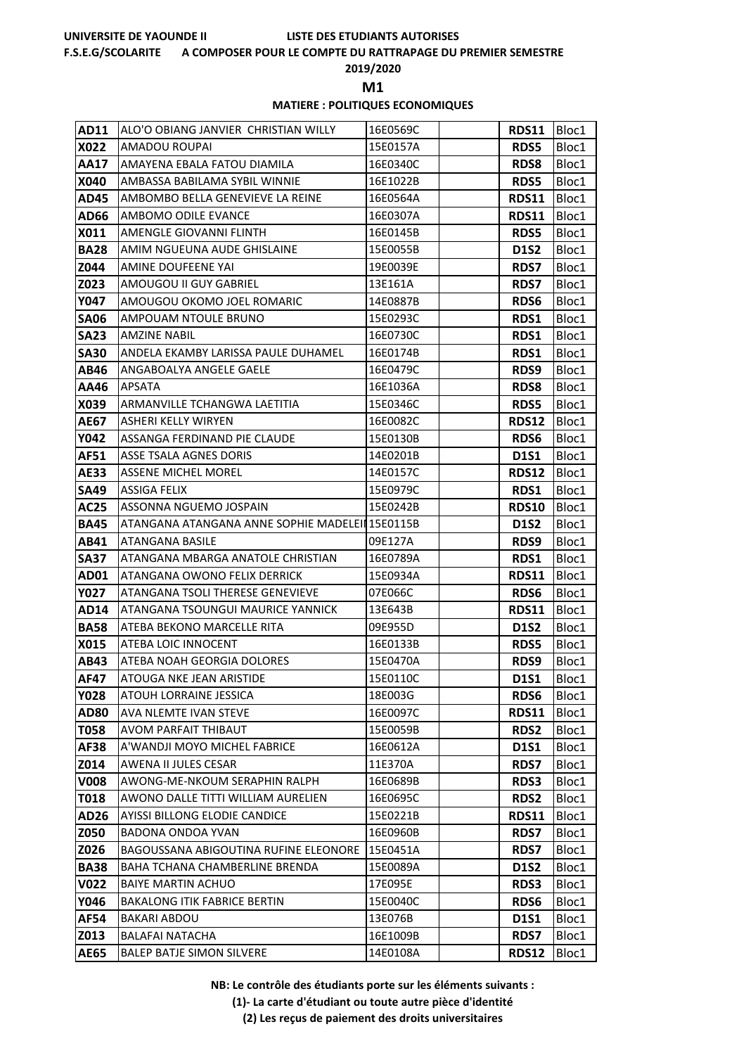### **F.S.E.G/SCOLARITE A COMPOSER POUR LE COMPTE DU RATTRAPAGE DU PREMIER SEMESTRE**

**2019/2020**

**M1** 

### **MATIERE : POLITIQUES ECONOMIQUES**

| <b>AD11</b>  | ALO'O OBIANG JANVIER CHRISTIAN WILLY                 | 16E0569C             | RDS11               | Bloc1          |
|--------------|------------------------------------------------------|----------------------|---------------------|----------------|
| X022         | AMADOU ROUPAI                                        | 15E0157A             | <b>RDS5</b>         | Bloc1          |
| AA17         | AMAYENA EBALA FATOU DIAMILA                          | 16E0340C             | <b>RDS8</b>         | Bloc1          |
| X040         | AMBASSA BABILAMA SYBIL WINNIE                        | 16E1022B             | <b>RDS5</b>         | Bloc1          |
| AD45         | AMBOMBO BELLA GENEVIEVE LA REINE                     | 16E0564A             | <b>RDS11</b>        | Bloc1          |
| AD66         | AMBOMO ODILE EVANCE                                  | 16E0307A             | RDS11               | Bloc1          |
| X011         | AMENGLE GIOVANNI FLINTH                              | 16E0145B             | <b>RDS5</b>         | Bloc1          |
| <b>BA28</b>  | AMIM NGUEUNA AUDE GHISLAINE                          | 15E0055B             | <b>D1S2</b>         | Bloc1          |
| Z044         | AMINE DOUFEENE YAI                                   | 19E0039E             | <b>RDS7</b>         | Bloc1          |
| Z023         | AMOUGOU II GUY GABRIEL                               | 13E161A              | <b>RDS7</b>         | Bloc1          |
| Y047         | AMOUGOU OKOMO JOEL ROMARIC                           | 14E0887B             | <b>RDS6</b>         | Bloc1          |
| <b>SA06</b>  | AMPOUAM NTOULE BRUNO                                 | 15E0293C             | <b>RDS1</b>         | Bloc1          |
| <b>SA23</b>  | <b>AMZINE NABIL</b>                                  | 16E0730C             | <b>RDS1</b>         | Bloc1          |
| <b>SA30</b>  | ANDELA EKAMBY LARISSA PAULE DUHAMEL                  | 16E0174B             | <b>RDS1</b>         | Bloc1          |
| AB46         | ANGABOALYA ANGELE GAELE                              | 16E0479C             | RDS9                | Bloc1          |
| AA46         | <b>APSATA</b>                                        | 16E1036A             | <b>RDS8</b>         | Bloc1          |
| X039         | ARMANVILLE TCHANGWA LAETITIA                         | 15E0346C             | <b>RDS5</b>         | Bloc1          |
| AE67         | ASHERI KELLY WIRYEN                                  | 16E0082C             | <b>RDS12</b>        | Bloc1          |
| Y042         | ASSANGA FERDINAND PIE CLAUDE                         | 15E0130B             | <b>RDS6</b>         | Bloc1          |
| AF51         | ASSE TSALA AGNES DORIS                               | 14E0201B             | <b>D1S1</b>         | Bloc1          |
| AE33         | <b>ASSENE MICHEL MOREL</b>                           | 14E0157C             | <b>RDS12</b>        | Bloc1          |
| <b>SA49</b>  | ASSIGA FELIX                                         | 15E0979C             | RDS1                | Bloc1          |
| <b>AC25</b>  | ASSONNA NGUEMO JOSPAIN                               | 15E0242B             | <b>RDS10</b>        | Bloc1          |
| <b>BA45</b>  | ATANGANA ATANGANA ANNE SOPHIE MADELEII 15E0115B      |                      | <b>D1S2</b>         | Bloc1          |
| AB41         | ATANGANA BASILE                                      | 09E127A              | RDS9                | Bloc1          |
| SA37         | ATANGANA MBARGA ANATOLE CHRISTIAN                    | 16E0789A             | <b>RDS1</b>         | Bloc1          |
| AD01         | ATANGANA OWONO FELIX DERRICK                         | 15E0934A             | <b>RDS11</b>        | Bloc1          |
| Y027         | ATANGANA TSOLI THERESE GENEVIEVE                     | 07E066C              | <b>RDS6</b>         | Bloc1          |
| AD14         | ATANGANA TSOUNGUI MAURICE YANNICK                    | 13E643B              | RDS11               | Bloc1          |
| <b>BA58</b>  | ATEBA BEKONO MARCELLE RITA                           | 09E955D              | <b>D1S2</b>         | Bloc1          |
| X015         | ATEBA LOIC INNOCENT                                  | 16E0133B             | <b>RDS5</b>         | Bloc1          |
| AB43         | ATEBA NOAH GEORGIA DOLORES                           | 15E0470A             | RDS9                | Bloc1          |
| <b>AF47</b>  | ATOUGA NKE JEAN ARISTIDE                             | 15E0110C             | D1S1                | Bloc1          |
| Y028         | ATOUH LORRAINE JESSICA                               | 18E003G              | RDS6                | Bloc1          |
| <b>AD80</b>  | AVA NLEMTE IVAN STEVE                                | 16E0097C<br>15E0059B | <b>RDS11</b>        | Bloc1          |
| T058<br>AF38 | AVOM PARFAIT THIBAUT<br>A'WANDJI MOYO MICHEL FABRICE | 16E0612A             | <b>RDS2</b><br>D1S1 | Bloc1<br>Bloc1 |
| Z014         | AWENA II JULES CESAR                                 | 11E370A              | <b>RDS7</b>         | Bloc1          |
| <b>V008</b>  | AWONG-ME-NKOUM SERAPHIN RALPH                        | 16E0689B             | <b>RDS3</b>         | Bloc1          |
| T018         | AWONO DALLE TITTI WILLIAM AURELIEN                   | 16E0695C             | RDS2                | Bloc1          |
| AD26         | AYISSI BILLONG ELODIE CANDICE                        | 15E0221B             | <b>RDS11</b>        | Bloc1          |
| Z050         | BADONA ONDOA YVAN                                    | 16E0960B             | <b>RDS7</b>         | Bloc1          |
| Z026         | BAGOUSSANA ABIGOUTINA RUFINE ELEONORE                | 15E0451A             | <b>RDS7</b>         | Bloc1          |
| <b>BA38</b>  | BAHA TCHANA CHAMBERLINE BRENDA                       | 15E0089A             | D1S2                | Bloc1          |
| V022         | <b>BAIYE MARTIN ACHUO</b>                            | 17E095E              | <b>RDS3</b>         | Bloc1          |
| Y046         | <b>BAKALONG ITIK FABRICE BERTIN</b>                  | 15E0040C             | <b>RDS6</b>         | Bloc1          |
| AF54         | <b>BAKARI ABDOU</b>                                  | 13E076B              | <b>D1S1</b>         | Bloc1          |
| Z013         | <b>BALAFAI NATACHA</b>                               | 16E1009B             | <b>RDS7</b>         | Bloc1          |
| <b>AE65</b>  | <b>BALEP BATJE SIMON SILVERE</b>                     | 14E0108A             | <b>RDS12</b>        | Bloc1          |
|              |                                                      |                      |                     |                |

**NB: Le contrôle des étudiants porte sur les éléments suivants :**

**(1)- La carte d'étudiant ou toute autre pièce d'identité**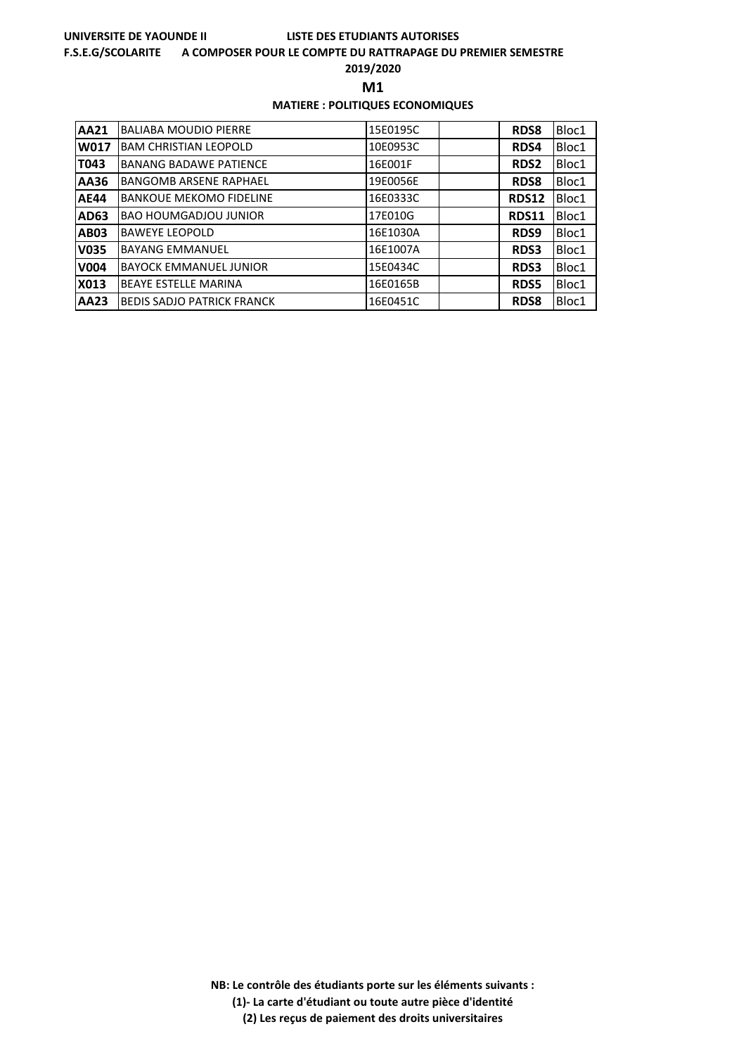### **F.S.E.G/SCOLARITE A COMPOSER POUR LE COMPTE DU RATTRAPAGE DU PREMIER SEMESTRE**

**2019/2020**

**M1** 

### **MATIERE : POLITIQUES ECONOMIQUES**

| AA21        | <b>BALIABA MOUDIO PIERRE</b>      | 15E0195C | <b>RDS8</b>  | Bloc1 |
|-------------|-----------------------------------|----------|--------------|-------|
| W017        | <b>BAM CHRISTIAN LEOPOLD</b>      | 10E0953C | RDS4         | Bloc1 |
| T043        | <b>BANANG BADAWE PATIENCE</b>     | 16E001F  | <b>RDS2</b>  | Bloc1 |
| AA36        | <b>BANGOMB ARSENE RAPHAEL</b>     | 19E0056E | <b>RDS8</b>  | Bloc1 |
| <b>AE44</b> | <b>BANKOUE MEKOMO FIDELINE</b>    | 16E0333C | <b>RDS12</b> | Bloc1 |
| AD63        | <b>BAO HOUMGADJOU JUNIOR</b>      | 17E010G  | <b>RDS11</b> | Bloc1 |
| <b>AB03</b> | <b>BAWEYE LEOPOLD</b>             | 16E1030A | RDS9         | Bloc1 |
| <b>V035</b> | <b>BAYANG EMMANUEL</b>            | 16E1007A | <b>RDS3</b>  | Bloc1 |
| <b>V004</b> | <b>BAYOCK EMMANUEL JUNIOR</b>     | 15E0434C | <b>RDS3</b>  | Bloc1 |
| X013        | <b>BEAYE ESTELLE MARINA</b>       | 16E0165B | <b>RDS5</b>  | Bloc1 |
| AA23        | <b>BEDIS SADJO PATRICK FRANCK</b> | 16E0451C | <b>RDS8</b>  | Bloc1 |

**NB: Le contrôle des étudiants porte sur les éléments suivants : (1)- La carte d'étudiant ou toute autre pièce d'identité**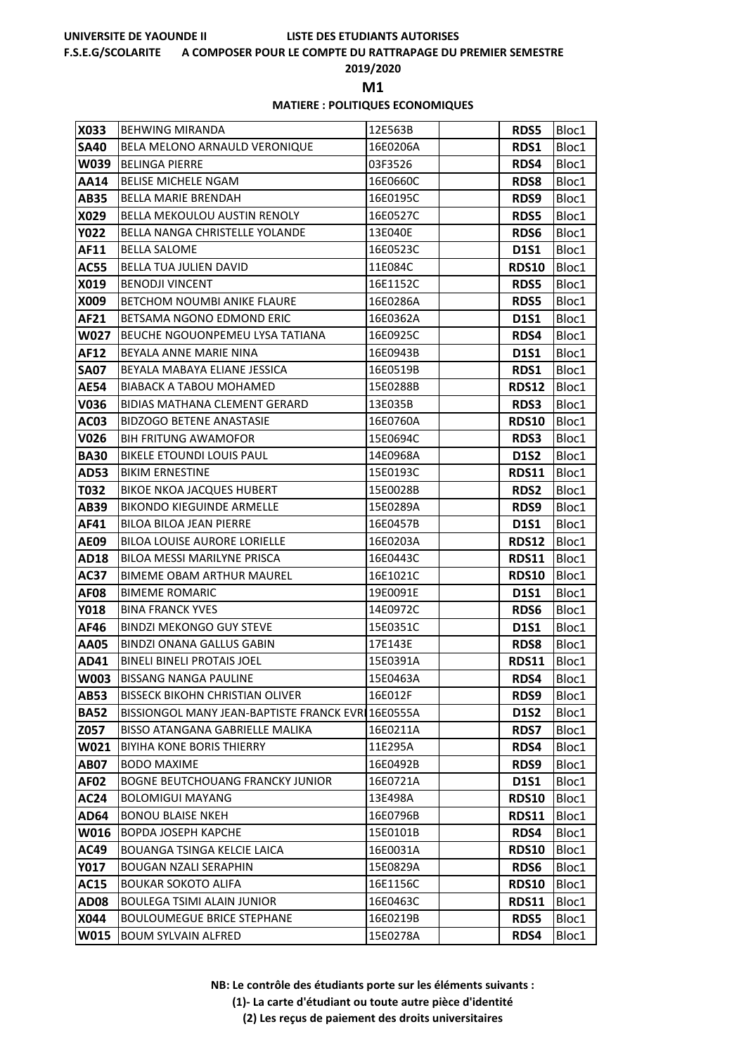### **F.S.E.G/SCOLARITE A COMPOSER POUR LE COMPTE DU RATTRAPAGE DU PREMIER SEMESTRE**

**2019/2020**

**M1** 

### **MATIERE : POLITIQUES ECONOMIQUES**

| X033        | <b>BEHWING MIRANDA</b>                             | 12E563B  | <b>RDS5</b>  | Bloc1 |
|-------------|----------------------------------------------------|----------|--------------|-------|
| <b>SA40</b> | BELA MELONO ARNAULD VERONIQUE                      | 16E0206A | RDS1         | Bloc1 |
| W039        | <b>BELINGA PIERRE</b>                              | 03F3526  | RDS4         | Bloc1 |
| AA14        | <b>BELISE MICHELE NGAM</b>                         | 16E0660C | <b>RDS8</b>  | Bloc1 |
| AB35        | <b>BELLA MARIE BRENDAH</b>                         | 16E0195C | RDS9         | Bloc1 |
| X029        | BELLA MEKOULOU AUSTIN RENOLY                       | 16E0527C | <b>RDS5</b>  | Bloc1 |
| <b>Y022</b> | BELLA NANGA CHRISTELLE YOLANDE                     | 13E040E  | <b>RDS6</b>  | Bloc1 |
| AF11        | <b>BELLA SALOME</b>                                | 16E0523C | <b>D1S1</b>  | Bloc1 |
| <b>AC55</b> | BELLA TUA JULIEN DAVID                             | 11E084C  | <b>RDS10</b> | Bloc1 |
| X019        | <b>BENODJI VINCENT</b>                             | 16E1152C | <b>RDS5</b>  | Bloc1 |
| X009        | <b>BETCHOM NOUMBI ANIKE FLAURE</b>                 | 16E0286A | <b>RDS5</b>  | Bloc1 |
| AF21        | BETSAMA NGONO EDMOND ERIC                          | 16E0362A | <b>D1S1</b>  | Bloc1 |
| W027        | BEUCHE NGOUONPEMEU LYSA TATIANA                    | 16E0925C | RDS4         | Bloc1 |
| AF12        | BEYALA ANNE MARIE NINA                             | 16E0943B | D1S1         | Bloc1 |
| <b>SA07</b> | BEYALA MABAYA ELIANE JESSICA                       | 16E0519B | <b>RDS1</b>  | Bloc1 |
| <b>AE54</b> | <b>BIABACK A TABOU MOHAMED</b>                     | 15E0288B | <b>RDS12</b> | Bloc1 |
| V036        | <b>BIDIAS MATHANA CLEMENT GERARD</b>               | 13E035B  | <b>RDS3</b>  | Bloc1 |
| AC03        | <b>BIDZOGO BETENE ANASTASIE</b>                    | 16E0760A | <b>RDS10</b> | Bloc1 |
| V026        | <b>BIH FRITUNG AWAMOFOR</b>                        | 15E0694C | <b>RDS3</b>  | Bloc1 |
| <b>BA30</b> | BIKELE ETOUNDI LOUIS PAUL                          | 14E0968A | <b>D1S2</b>  | Bloc1 |
| AD53        | <b>BIKIM ERNESTINE</b>                             | 15E0193C | <b>RDS11</b> | Bloc1 |
| T032        | <b>BIKOE NKOA JACQUES HUBERT</b>                   | 15E0028B | <b>RDS2</b>  | Bloc1 |
| AB39        | <b>BIKONDO KIEGUINDE ARMELLE</b>                   | 15E0289A | RDS9         | Bloc1 |
| AF41        | BILOA BILOA JEAN PIERRE                            | 16E0457B | <b>D1S1</b>  | Bloc1 |
| AE09        | BILOA LOUISE AURORE LORIELLE                       | 16E0203A | <b>RDS12</b> | Bloc1 |
| AD18        | BILOA MESSI MARILYNE PRISCA                        | 16E0443C | <b>RDS11</b> | Bloc1 |
| AC37        | <b>BIMEME OBAM ARTHUR MAUREL</b>                   | 16E1021C | <b>RDS10</b> | Bloc1 |
| <b>AF08</b> | <b>BIMEME ROMARIC</b>                              | 19E0091E | <b>D1S1</b>  | Bloc1 |
| Y018        | <b>BINA FRANCK YVES</b>                            | 14E0972C | RDS6         | Bloc1 |
| AF46        | <b>BINDZI MEKONGO GUY STEVE</b>                    | 15E0351C | <b>D1S1</b>  | Bloc1 |
| AA05        | <b>BINDZI ONANA GALLUS GABIN</b>                   | 17E143E  | <b>RDS8</b>  | Bloc1 |
| AD41        | <b>BINELI BINELI PROTAIS JOEL</b>                  | 15E0391A | <b>RDS11</b> | Bloc1 |
| W003        | <b>BISSANG NANGA PAULINE</b>                       | 15E0463A | RDS4         | Bloc1 |
| AB53        | <b>BISSECK BIKOHN CHRISTIAN OLIVER</b>             | 16E012F  | RDS9         | Bloc1 |
| <b>BA52</b> | BISSIONGOL MANY JEAN-BAPTISTE FRANCK EVRI 16E0555A |          | <b>D1S2</b>  | Bloc1 |
| Z057        | <b>BISSO ATANGANA GABRIELLE MALIKA</b>             | 16E0211A | <b>RDS7</b>  | Bloc1 |
| W021        | <b>BIYIHA KONE BORIS THIERRY</b>                   | 11E295A  | RDS4         | Bloc1 |
| AB07        | <b>BODO MAXIME</b>                                 | 16E0492B | <b>RDS9</b>  | Bloc1 |
| <b>AF02</b> | BOGNE BEUTCHOUANG FRANCKY JUNIOR                   | 16E0721A | D1S1         | Bloc1 |
| <b>AC24</b> | BOLOMIGUI MAYANG                                   | 13E498A  | <b>RDS10</b> | Bloc1 |
| AD64        | <b>BONOU BLAISE NKEH</b>                           | 16E0796B | <b>RDS11</b> | Bloc1 |
| W016        | <b>BOPDA JOSEPH KAPCHE</b>                         | 15E0101B | RDS4         | Bloc1 |
| AC49        | <b>BOUANGA TSINGA KELCIE LAICA</b>                 | 16E0031A | <b>RDS10</b> | Bloc1 |
| Y017        | <b>BOUGAN NZALI SERAPHIN</b>                       | 15E0829A | <b>RDS6</b>  | Bloc1 |
| <b>AC15</b> | <b>BOUKAR SOKOTO ALIFA</b>                         | 16E1156C | <b>RDS10</b> | Bloc1 |
| AD08        | <b>BOULEGA TSIMI ALAIN JUNIOR</b>                  | 16E0463C | <b>RDS11</b> | Bloc1 |
| X044        | <b>BOULOUMEGUE BRICE STEPHANE</b>                  | 16E0219B | <b>RDS5</b>  | Bloc1 |
| W015        | <b>BOUM SYLVAIN ALFRED</b>                         | 15E0278A | RDS4         | Bloc1 |

**NB: Le contrôle des étudiants porte sur les éléments suivants :**

**(1)- La carte d'étudiant ou toute autre pièce d'identité**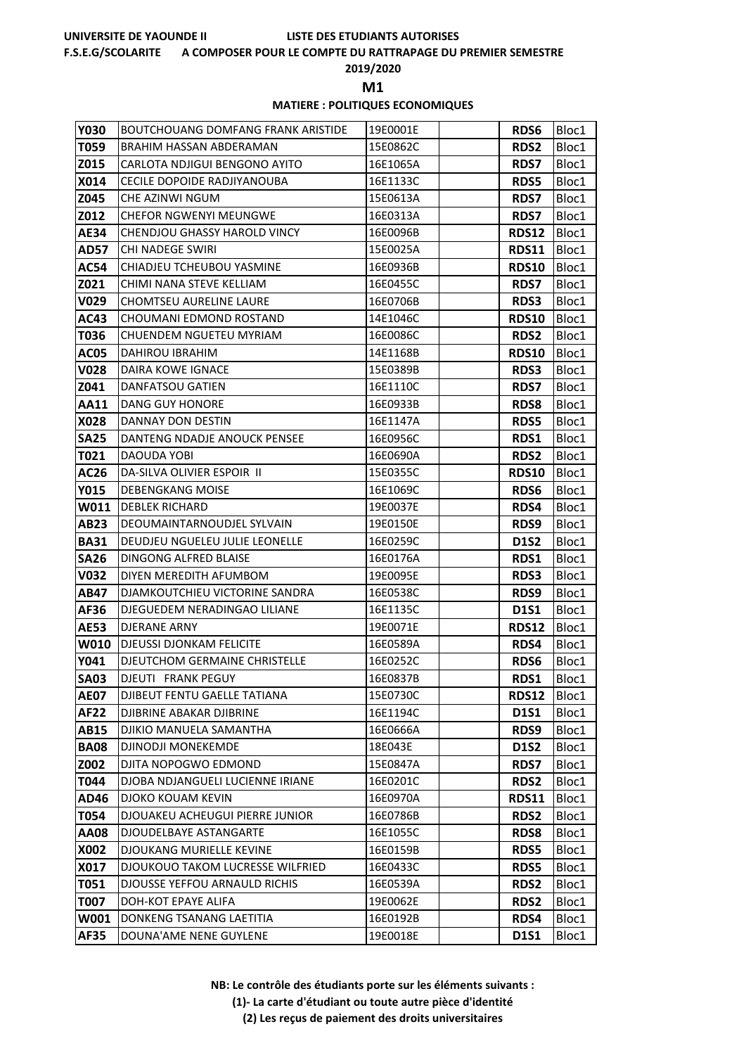### **F.S.E.G/SCOLARITE A COMPOSER POUR LE COMPTE DU RATTRAPAGE DU PREMIER SEMESTRE**

**2019/2020**

**M1** 

# **MATIERE : POLITIQUES ECONOMIQUES**

| <b>Y030</b> | <b>BOUTCHOUANG DOMFANG FRANK ARISTIDE</b> | 19E0001E | <b>RDS6</b>  | Bloc1 |
|-------------|-------------------------------------------|----------|--------------|-------|
| T059        | BRAHIM HASSAN ABDERAMAN                   | 15E0862C | <b>RDS2</b>  | Bloc1 |
| Z015        | CARLOTA NDJIGUI BENGONO AYITO             | 16E1065A | <b>RDS7</b>  | Bloc1 |
| X014        | CECILE DOPOIDE RADJIYANOUBA               | 16E1133C | <b>RDS5</b>  | Bloc1 |
| Z045        | CHE AZINWI NGUM                           | 15E0613A | <b>RDS7</b>  | Bloc1 |
| Z012        | <b>CHEFOR NGWENYI MEUNGWE</b>             | 16E0313A | <b>RDS7</b>  | Bloc1 |
| AE34        | <b>CHENDJOU GHASSY HAROLD VINCY</b>       | 16E0096B | <b>RDS12</b> | Bloc1 |
| <b>AD57</b> | <b>CHI NADEGE SWIRI</b>                   | 15E0025A | <b>RDS11</b> | Bloc1 |
| <b>AC54</b> | CHIADJEU TCHEUBOU YASMINE                 | 16E0936B | <b>RDS10</b> | Bloc1 |
| Z021        | CHIMI NANA STEVE KELLIAM                  | 16E0455C | RDS7         | Bloc1 |
| V029        | <b>CHOMTSEU AURELINE LAURE</b>            | 16E0706B | <b>RDS3</b>  | Bloc1 |
| AC43        | CHOUMANI EDMOND ROSTAND                   | 14E1046C | <b>RDS10</b> | Bloc1 |
| T036        | CHUENDEM NGUETEU MYRIAM                   | 16E0086C | <b>RDS2</b>  | Bloc1 |
| <b>AC05</b> | DAHIROU IBRAHIM                           | 14E1168B | <b>RDS10</b> | Bloc1 |
| <b>V028</b> | DAIRA KOWE IGNACE                         | 15E0389B | <b>RDS3</b>  | Bloc1 |
| Z041        | <b>DANFATSOU GATIEN</b>                   | 16E1110C | <b>RDS7</b>  | Bloc1 |
| <b>AA11</b> | DANG GUY HONORE                           | 16E0933B | <b>RDS8</b>  | Bloc1 |
| X028        | DANNAY DON DESTIN                         | 16E1147A | <b>RDS5</b>  | Bloc1 |
| <b>SA25</b> | DANTENG NDADJE ANOUCK PENSEE              | 16E0956C | RDS1         | Bloc1 |
| T021        | DAOUDA YOBI                               | 16E0690A | <b>RDS2</b>  | Bloc1 |
| AC26        | DA-SILVA OLIVIER ESPOIR II                | 15E0355C | <b>RDS10</b> | Bloc1 |
| <b>Y015</b> | DEBENGKANG MOISE                          | 16E1069C | <b>RDS6</b>  | Bloc1 |
| W011        | <b>DEBLEK RICHARD</b>                     | 19E0037E | RDS4         | Bloc1 |
| AB23        | DEOUMAINTARNOUDJEL SYLVAIN                | 19E0150E | RDS9         | Bloc1 |
| <b>BA31</b> | DEUDJEU NGUELEU JULIE LEONELLE            | 16E0259C | <b>D1S2</b>  | Bloc1 |
| <b>SA26</b> | DINGONG ALFRED BLAISE                     | 16E0176A | RDS1         | Bloc1 |
| V032        | DIYEN MEREDITH AFUMBOM                    | 19E0095E | <b>RDS3</b>  | Bloc1 |
| AB47        | DJAMKOUTCHIEU VICTORINE SANDRA            | 16E0538C | RDS9         | Bloc1 |
| AF36        | DJEGUEDEM NERADINGAO LILIANE              | 16E1135C | <b>D1S1</b>  | Bloc1 |
| <b>AE53</b> | DJERANE ARNY                              | 19E0071E | <b>RDS12</b> | Bloc1 |
| <b>W010</b> | <b>DJEUSSI DJONKAM FELICITE</b>           | 16E0589A | <b>RDS4</b>  | Bloc1 |
| Y041        | DJEUTCHOM GERMAINE CHRISTELLE             | 16E0252C | <b>RDS6</b>  | Bloc1 |
| <b>SA03</b> | DJEUTI FRANK PEGUY                        | 16E0837B | RDS1         | Bloc1 |
| <b>AE07</b> | DJIBEUT FENTU GAELLE TATIANA              | 15E0730C | <b>RDS12</b> | Bloc1 |
| AF22        | DJIBRINE ABAKAR DJIBRINE                  | 16E1194C | D1S1         | Bloc1 |
| AB15        | DJIKIO MANUELA SAMANTHA                   | 16E0666A | RDS9         | Bloc1 |
| <b>BA08</b> | DJINODJI MONEKEMDE                        | 18E043E  | <b>D1S2</b>  | Bloc1 |
| Z002        | DJITA NOPOGWO EDMOND                      | 15E0847A | <b>RDS7</b>  | Bloc1 |
| T044        | DJOBA NDJANGUELI LUCIENNE IRIANE          | 16E0201C | <b>RDS2</b>  | Bloc1 |
| AD46        | <b>DJOKO KOUAM KEVIN</b>                  | 16E0970A | <b>RDS11</b> | Bloc1 |
| T054        | DJOUAKEU ACHEUGUI PIERRE JUNIOR           | 16E0786B | <b>RDS2</b>  | Bloc1 |
| 80AA        | DJOUDELBAYE ASTANGARTE                    | 16E1055C | <b>RDS8</b>  | Bloc1 |
| X002        | DJOUKANG MURIELLE KEVINE                  | 16E0159B | <b>RDS5</b>  | Bloc1 |
| X017        | DJOUKOUO TAKOM LUCRESSE WILFRIED          | 16E0433C | <b>RDS5</b>  | Bloc1 |
| T051        | DJOUSSE YEFFOU ARNAULD RICHIS             | 16E0539A | <b>RDS2</b>  | Bloc1 |
| T007        | DOH-KOT EPAYE ALIFA                       | 19E0062E | <b>RDS2</b>  | Bloc1 |
| W001        | DONKENG TSANANG LAETITIA                  | 16E0192B | RDS4         | Bloc1 |
| <b>AF35</b> | DOUNA'AME NENE GUYLENE                    | 19E0018E | D1S1         | Bloc1 |

**NB: Le contrôle des étudiants porte sur les éléments suivants :**

**(1)- La carte d'étudiant ou toute autre pièce d'identité**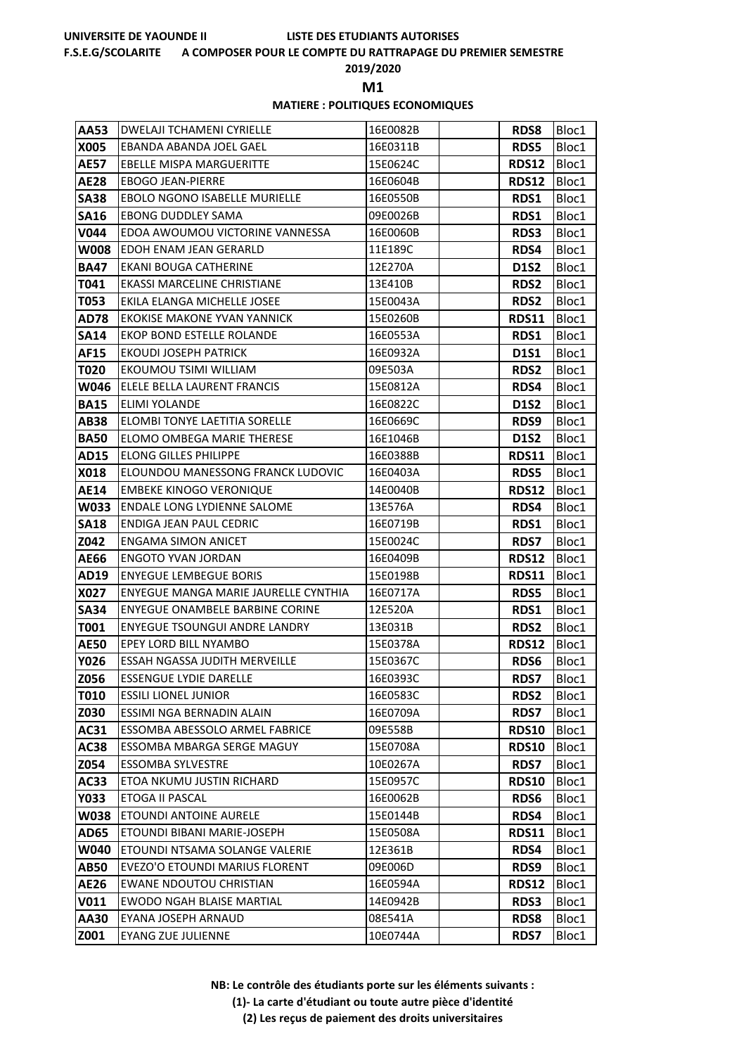### **F.S.E.G/SCOLARITE A COMPOSER POUR LE COMPTE DU RATTRAPAGE DU PREMIER SEMESTRE**

**2019/2020**

**M1** 

### **MATIERE : POLITIQUES ECONOMIQUES**

| AA53        | <b>DWELAJI TCHAMENI CYRIELLE</b>       | 16E0082B | <b>RDS8</b>  | Bloc1 |
|-------------|----------------------------------------|----------|--------------|-------|
| X005        | EBANDA ABANDA JOEL GAEL                | 16E0311B | <b>RDS5</b>  | Bloc1 |
| <b>AE57</b> | <b>EBELLE MISPA MARGUERITTE</b>        | 15E0624C | <b>RDS12</b> | Bloc1 |
| <b>AE28</b> | <b>EBOGO JEAN-PIERRE</b>               | 16E0604B | <b>RDS12</b> | Bloc1 |
| <b>SA38</b> | <b>EBOLO NGONO ISABELLE MURIELLE</b>   | 16E0550B | RDS1         | Bloc1 |
| <b>SA16</b> | <b>EBONG DUDDLEY SAMA</b>              | 09E0026B | RDS1         | Bloc1 |
| <b>V044</b> | EDOA AWOUMOU VICTORINE VANNESSA        | 16E0060B | <b>RDS3</b>  | Bloc1 |
| <b>W008</b> | EDOH ENAM JEAN GERARLD                 | 11E189C  | <b>RDS4</b>  | Bloc1 |
| <b>BA47</b> | EKANI BOUGA CATHERINE                  | 12E270A  | <b>D1S2</b>  | Bloc1 |
| T041        | EKASSI MARCELINE CHRISTIANE            | 13E410B  | <b>RDS2</b>  | Bloc1 |
| T053        | EKILA ELANGA MICHELLE JOSEE            | 15E0043A | <b>RDS2</b>  | Bloc1 |
| AD78        | <b>EKOKISE MAKONE YVAN YANNICK</b>     | 15E0260B | <b>RDS11</b> | Bloc1 |
| <b>SA14</b> | EKOP BOND ESTELLE ROLANDE              | 16E0553A | RDS1         | Bloc1 |
| AF15        | <b>EKOUDI JOSEPH PATRICK</b>           | 16E0932A | D1S1         | Bloc1 |
| T020        | EKOUMOU TSIMI WILLIAM                  | 09E503A  | <b>RDS2</b>  | Bloc1 |
| W046        | ELELE BELLA LAURENT FRANCIS            | 15E0812A | RDS4         | Bloc1 |
| <b>BA15</b> | ELIMI YOLANDE                          | 16E0822C | <b>D1S2</b>  | Bloc1 |
| AB38        | ELOMBI TONYE LAETITIA SORELLE          | 16E0669C | <b>RDS9</b>  | Bloc1 |
| <b>BA50</b> | ELOMO OMBEGA MARIE THERESE             | 16E1046B | <b>D1S2</b>  | Bloc1 |
| AD15        | <b>ELONG GILLES PHILIPPE</b>           | 16E0388B | <b>RDS11</b> | Bloc1 |
| X018        | ELOUNDOU MANESSONG FRANCK LUDOVIC      | 16E0403A | <b>RDS5</b>  | Bloc1 |
| AE14        | <b>EMBEKE KINOGO VERONIQUE</b>         | 14E0040B | <b>RDS12</b> | Bloc1 |
| W033        | <b>ENDALE LONG LYDIENNE SALOME</b>     | 13E576A  | RDS4         | Bloc1 |
| <b>SA18</b> | ENDIGA JEAN PAUL CEDRIC                | 16E0719B | <b>RDS1</b>  | Bloc1 |
| Z042        | ENGAMA SIMON ANICET                    | 15E0024C | <b>RDS7</b>  | Bloc1 |
| AE66        | ENGOTO YVAN JORDAN                     | 16E0409B | <b>RDS12</b> | Bloc1 |
| AD19        | <b>ENYEGUE LEMBEGUE BORIS</b>          | 15E0198B | RDS11        | Bloc1 |
| X027        | ENYEGUE MANGA MARIE JAURELLE CYNTHIA   | 16E0717A | <b>RDS5</b>  | Bloc1 |
| <b>SA34</b> | <b>ENYEGUE ONAMBELE BARBINE CORINE</b> | 12E520A  | RDS1         | Bloc1 |
| T001        | <b>ENYEGUE TSOUNGUI ANDRE LANDRY</b>   | 13E031B  | <b>RDS2</b>  | Bloc1 |
| <b>AE50</b> | EPEY LORD BILL NYAMBO                  | 15E0378A | <b>RDS12</b> | Bloc1 |
| Y026        | <b>ESSAH NGASSA JUDITH MERVEILLE</b>   | 15E0367C | <b>RDS6</b>  | Bloc1 |
| Z056        | <b>ESSENGUE LYDIE DARELLE</b>          | 16E0393C | <b>RDS7</b>  | Bloc1 |
| T010        | <b>ESSILI LIONEL JUNIOR</b>            | 16E0583C | <b>RDS2</b>  | Bloc1 |
| Z030        | ESSIMI NGA BERNADIN ALAIN              | 16E0709A | <b>RDS7</b>  | Bloc1 |
| AC31        | ESSOMBA ABESSOLO ARMEL FABRICE         | 09E558B  | <b>RDS10</b> | Bloc1 |
| AC38        | ESSOMBA MBARGA SERGE MAGUY             | 15E0708A | <b>RDS10</b> | Bloc1 |
| Z054        | <b>ESSOMBA SYLVESTRE</b>               | 10E0267A | <b>RDS7</b>  | Bloc1 |
| AC33        | ETOA NKUMU JUSTIN RICHARD              | 15E0957C | <b>RDS10</b> | Bloc1 |
| Y033        | ETOGA II PASCAL                        | 16E0062B | <b>RDS6</b>  | Bloc1 |
| <b>W038</b> | ETOUNDI ANTOINE AURELE                 | 15E0144B | RDS4         | Bloc1 |
| AD65        | ETOUNDI BIBANI MARIE-JOSEPH            | 15E0508A | <b>RDS11</b> | Bloc1 |
| W040        | ETOUNDI NTSAMA SOLANGE VALERIE         | 12E361B  | <b>RDS4</b>  | Bloc1 |
| AB50        | EVEZO'O ETOUNDI MARIUS FLORENT         | 09E006D  | RDS9         | Bloc1 |
| AE26        | <b>EWANE NDOUTOU CHRISTIAN</b>         | 16E0594A | <b>RDS12</b> | Bloc1 |
| <b>V011</b> | <b>EWODO NGAH BLAISE MARTIAL</b>       | 14E0942B | <b>RDS3</b>  | Bloc1 |
| AA30        | EYANA JOSEPH ARNAUD                    | 08E541A  | <b>RDS8</b>  | Bloc1 |
| Z001        | <b>EYANG ZUE JULIENNE</b>              | 10E0744A | <b>RDS7</b>  | Bloc1 |

**NB: Le contrôle des étudiants porte sur les éléments suivants :**

**(1)- La carte d'étudiant ou toute autre pièce d'identité**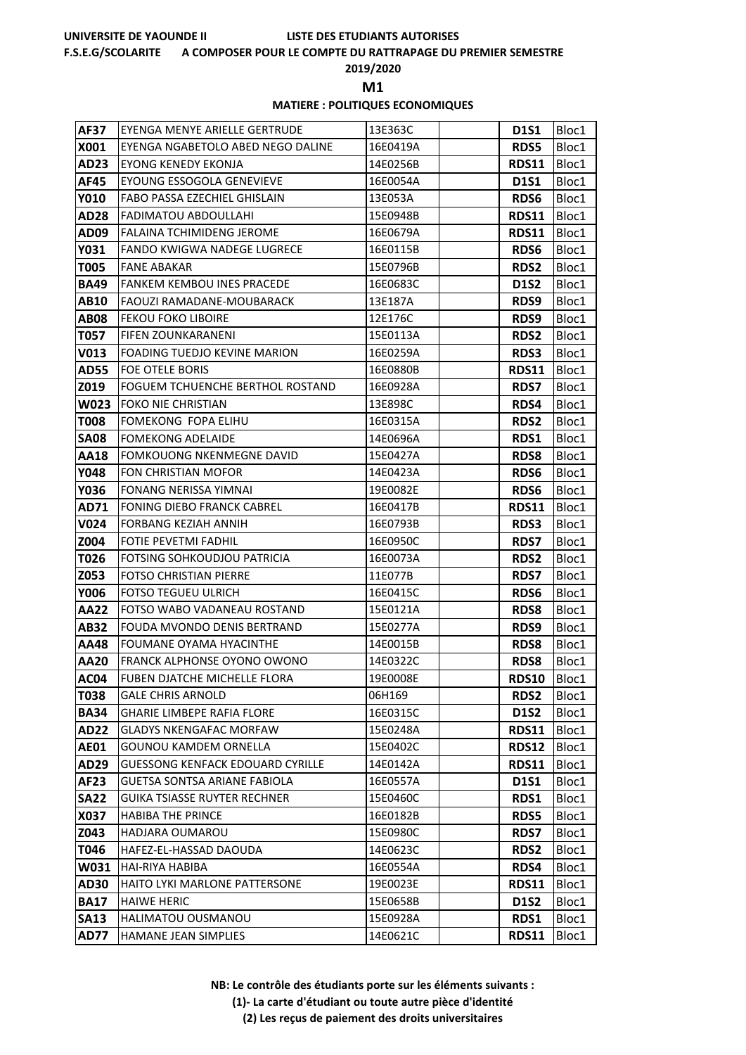### **F.S.E.G/SCOLARITE A COMPOSER POUR LE COMPTE DU RATTRAPAGE DU PREMIER SEMESTRE**

**2019/2020**

**M1** 

### **MATIERE : POLITIQUES ECONOMIQUES**

| <b>AF37</b> | EYENGA MENYE ARIELLE GERTRUDE           | 13E363C  | <b>D1S1</b>  | Bloc1 |
|-------------|-----------------------------------------|----------|--------------|-------|
| X001        | EYENGA NGABETOLO ABED NEGO DALINE       | 16E0419A | <b>RDS5</b>  | Bloc1 |
| AD23        | <b>EYONG KENEDY EKONJA</b>              | 14E0256B | RDS11        | Bloc1 |
| AF45        | EYOUNG ESSOGOLA GENEVIEVE               | 16E0054A | <b>D1S1</b>  | Bloc1 |
| Y010        | FABO PASSA EZECHIEL GHISLAIN            | 13E053A  | <b>RDS6</b>  | Bloc1 |
| <b>AD28</b> | FADIMATOU ABDOULLAHI                    | 15E0948B | <b>RDS11</b> | Bloc1 |
| AD09        | <b>FALAINA TCHIMIDENG JEROME</b>        | 16E0679A | <b>RDS11</b> | Bloc1 |
| Y031        | FANDO KWIGWA NADEGE LUGRECE             | 16E0115B | <b>RDS6</b>  | Bloc1 |
| <b>T005</b> | <b>FANE ABAKAR</b>                      | 15E0796B | <b>RDS2</b>  | Bloc1 |
| <b>BA49</b> | <b>FANKEM KEMBOU INES PRACEDE</b>       | 16E0683C | <b>D1S2</b>  | Bloc1 |
| AB10        | <b>FAOUZI RAMADANE-MOUBARACK</b>        | 13E187A  | RDS9         | Bloc1 |
| <b>AB08</b> | <b>FEKOU FOKO LIBOIRE</b>               | 12E176C  | RDS9         | Bloc1 |
| T057        | <b>FIFEN ZOUNKARANENI</b>               | 15E0113A | <b>RDS2</b>  | Bloc1 |
| V013        | FOADING TUEDJO KEVINE MARION            | 16E0259A | <b>RDS3</b>  | Bloc1 |
| <b>AD55</b> | FOE OTELE BORIS                         | 16E0880B | <b>RDS11</b> | Bloc1 |
| Z019        | FOGUEM TCHUENCHE BERTHOL ROSTAND        | 16E0928A | <b>RDS7</b>  | Bloc1 |
| <b>W023</b> | <b>FOKO NIE CHRISTIAN</b>               | 13E898C  | RDS4         | Bloc1 |
| T008        | FOMEKONG FOPA ELIHU                     | 16E0315A | <b>RDS2</b>  | Bloc1 |
| <b>SA08</b> | <b>FOMEKONG ADELAIDE</b>                | 14E0696A | RDS1         | Bloc1 |
| AA18        | <b>FOMKOUONG NKENMEGNE DAVID</b>        | 15E0427A | <b>RDS8</b>  | Bloc1 |
| <b>Y048</b> | FON CHRISTIAN MOFOR                     | 14E0423A | <b>RDS6</b>  | Bloc1 |
| Y036        | FONANG NERISSA YIMNAI                   | 19E0082E | <b>RDS6</b>  | Bloc1 |
| AD71        | FONING DIEBO FRANCK CABREL              | 16E0417B | <b>RDS11</b> | Bloc1 |
| <b>V024</b> | <b>FORBANG KEZIAH ANNIH</b>             | 16E0793B | <b>RDS3</b>  | Bloc1 |
| Z004        | FOTIE PEVETMI FADHIL                    | 16E0950C | <b>RDS7</b>  | Bloc1 |
| T026        | <b>FOTSING SOHKOUDJOU PATRICIA</b>      | 16E0073A | <b>RDS2</b>  | Bloc1 |
| Z053        | <b>FOTSO CHRISTIAN PIERRE</b>           | 11E077B  | <b>RDS7</b>  | Bloc1 |
| <b>Y006</b> | <b>FOTSO TEGUEU ULRICH</b>              | 16E0415C | <b>RDS6</b>  | Bloc1 |
| AA22        | FOTSO WABO VADANEAU ROSTAND             | 15E0121A | <b>RDS8</b>  | Bloc1 |
| <b>AB32</b> | FOUDA MVONDO DENIS BERTRAND             | 15E0277A | RDS9         | Bloc1 |
| AA48        | FOUMANE OYAMA HYACINTHE                 | 14E0015B | <b>RDS8</b>  | Bloc1 |
| <b>AA20</b> | <b>FRANCK ALPHONSE OYONO OWONO</b>      | 14E0322C | <b>RDS8</b>  | Bloc1 |
| <b>AC04</b> | FUBEN DJATCHE MICHELLE FLORA            | 19E0008E | <b>RDS10</b> | Bloc1 |
| <b>T038</b> | <b>GALE CHRIS ARNOLD</b>                | 06H169   | <b>RDS2</b>  | Bloc1 |
| <b>BA34</b> | <b>GHARIE LIMBEPE RAFIA FLORE</b>       | 16E0315C | <b>D1S2</b>  | Bloc1 |
| <b>AD22</b> | <b>GLADYS NKENGAFAC MORFAW</b>          | 15E0248A | <b>RDS11</b> | Bloc1 |
| <b>AE01</b> | <b>GOUNOU KAMDEM ORNELLA</b>            | 15E0402C | <b>RDS12</b> | Bloc1 |
| AD29        | <b>GUESSONG KENFACK EDOUARD CYRILLE</b> | 14E0142A | <b>RDS11</b> | Bloc1 |
| <b>AF23</b> | <b>GUETSA SONTSA ARIANE FABIOLA</b>     | 16E0557A | <b>D1S1</b>  | Bloc1 |
| <b>SA22</b> | GUIKA TSIASSE RUYTER RECHNER            | 15E0460C | RDS1         | Bloc1 |
| X037        | <b>HABIBA THE PRINCE</b>                | 16E0182B | <b>RDS5</b>  | Bloc1 |
| Z043        | HADJARA OUMAROU                         | 15E0980C | <b>RDS7</b>  | Bloc1 |
| T046        | HAFEZ-EL-HASSAD DAOUDA                  | 14E0623C | <b>RDS2</b>  | Bloc1 |
| W031        | HAI-RIYA HABIBA                         | 16E0554A | RDS4         | Bloc1 |
| AD30        | <b>HAITO LYKI MARLONE PATTERSONE</b>    | 19E0023E | <b>RDS11</b> | Bloc1 |
| <b>BA17</b> | <b>HAIWE HERIC</b>                      | 15E0658B | <b>D1S2</b>  | Bloc1 |
| <b>SA13</b> | HALIMATOU OUSMANOU                      | 15E0928A | RDS1         | Bloc1 |
| <b>AD77</b> | HAMANE JEAN SIMPLIES                    | 14E0621C | <b>RDS11</b> | Bloc1 |

**NB: Le contrôle des étudiants porte sur les éléments suivants :**

**(1)- La carte d'étudiant ou toute autre pièce d'identité**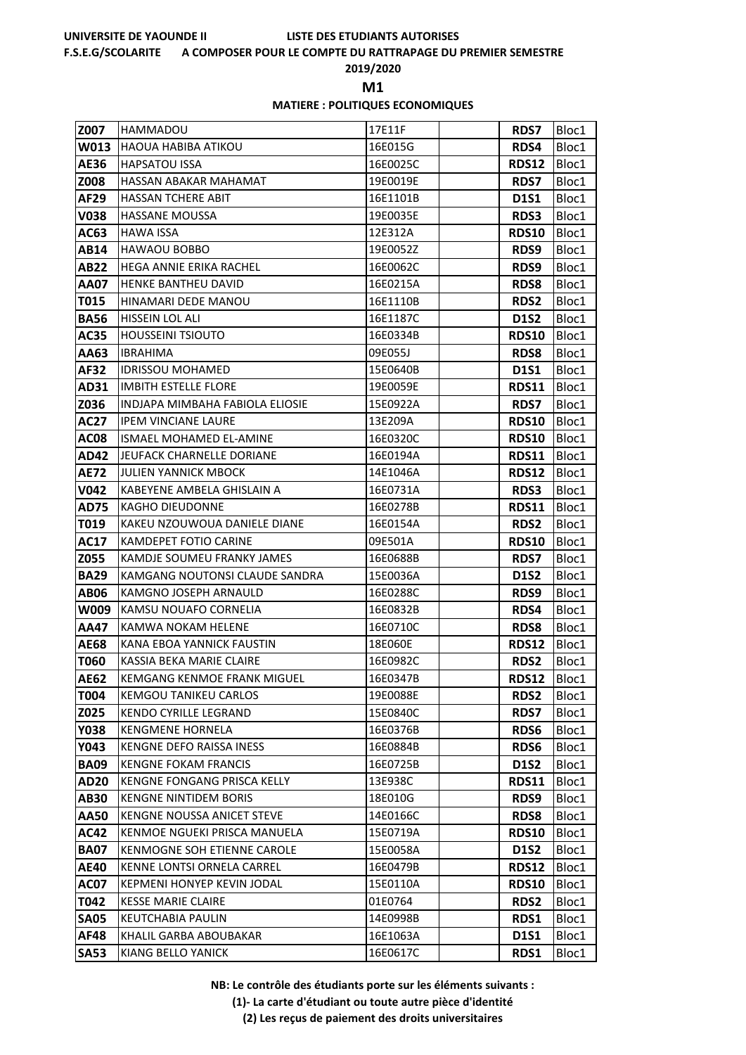### **F.S.E.G/SCOLARITE A COMPOSER POUR LE COMPTE DU RATTRAPAGE DU PREMIER SEMESTRE**

**2019/2020**

**M1** 

### **MATIERE : POLITIQUES ECONOMIQUES**

| Z007                | <b>HAMMADOU</b>                                         | 17E11F               | <b>RDS7</b>                 | Bloc1          |
|---------------------|---------------------------------------------------------|----------------------|-----------------------------|----------------|
| W013                | <b>HAOUA HABIBA ATIKOU</b>                              | 16E015G              | RDS4                        | Bloc1          |
| AE36                | <b>HAPSATOU ISSA</b>                                    | 16E0025C             | <b>RDS12</b>                | Bloc1          |
| Z008                | HASSAN ABAKAR MAHAMAT                                   | 19E0019E             | <b>RDS7</b>                 | Bloc1          |
| AF29                | <b>HASSAN TCHERE ABIT</b>                               | 16E1101B             | <b>D1S1</b>                 | Bloc1          |
| V038                | <b>HASSANE MOUSSA</b>                                   | 19E0035E             | <b>RDS3</b>                 | Bloc1          |
| AC63                | <b>HAWA ISSA</b>                                        | 12E312A              | <b>RDS10</b>                | Bloc1          |
| AB14                | <b>HAWAOU BOBBO</b>                                     | 19E0052Z             | RDS9                        | Bloc1          |
| AB22                | <b>HEGA ANNIE ERIKA RACHEL</b>                          | 16E0062C             | RDS9                        | Bloc1          |
| AA07                | HENKE BANTHEU DAVID                                     | 16E0215A             | <b>RDS8</b>                 | Bloc1          |
| T015                | HINAMARI DEDE MANOU                                     | 16E1110B             | <b>RDS2</b>                 | Bloc1          |
| <b>BA56</b>         | HISSEIN LOL ALI                                         | 16E1187C             | <b>D1S2</b>                 | Bloc1          |
| AC35                | <b>HOUSSEINI TSIOUTO</b>                                | 16E0334B             | <b>RDS10</b>                | Bloc1          |
| AA63                | <b>IBRAHIMA</b>                                         | 09E055J              | <b>RDS8</b>                 | Bloc1          |
| AF32                | <b>IDRISSOU MOHAMED</b>                                 | 15E0640B             | <b>D1S1</b>                 | Bloc1          |
| AD31                | <b>IMBITH ESTELLE FLORE</b>                             | 19E0059E             | <b>RDS11</b>                | Bloc1          |
| Z036                | INDJAPA MIMBAHA FABIOLA ELIOSIE                         | 15E0922A             | <b>RDS7</b>                 | Bloc1          |
| AC27                | <b>IPEM VINCIANE LAURE</b>                              | 13E209A              | <b>RDS10</b>                | Bloc1          |
| AC08                | ISMAEL MOHAMED EL-AMINE                                 | 16E0320C             | <b>RDS10</b>                | Bloc1          |
| AD42                | JEUFACK CHARNELLE DORIANE                               | 16E0194A             | <b>RDS11</b>                | Bloc1          |
| AE72                | <b>JULIEN YANNICK MBOCK</b>                             | 14E1046A             | <b>RDS12</b>                | Bloc1          |
| V042                | KABEYENE AMBELA GHISLAIN A                              | 16E0731A             | <b>RDS3</b>                 | Bloc1          |
| AD75                | <b>KAGHO DIEUDONNE</b>                                  | 16E0278B             | <b>RDS11</b>                | Bloc1          |
| T019                | KAKEU NZOUWOUA DANIELE DIANE                            | 16E0154A             | RDS2                        | Bloc1          |
| AC17                | KAMDEPET FOTIO CARINE                                   | 09E501A              | <b>RDS10</b>                | Bloc1          |
| Z055                | KAMDJE SOUMEU FRANKY JAMES                              | 16E0688B             | <b>RDS7</b>                 | Bloc1          |
| <b>BA29</b>         | KAMGANG NOUTONSI CLAUDE SANDRA<br>KAMGNO JOSEPH ARNAULD | 15E0036A<br>16E0288C | <b>D1S2</b>                 | Bloc1          |
| <b>AB06</b><br>W009 | KAMSU NOUAFO CORNELIA                                   |                      | RDS9                        | Bloc1          |
| AA47                | KAMWA NOKAM HELENE                                      | 16E0832B<br>16E0710C | RDS4                        | Bloc1          |
| <b>AE68</b>         | KANA EBOA YANNICK FAUSTIN                               | 18E060E              | <b>RDS8</b><br><b>RDS12</b> | Bloc1<br>Bloc1 |
| T060                | KASSIA BEKA MARIE CLAIRE                                | 16E0982C             | <b>RDS2</b>                 | Bloc1          |
| <b>AE62</b>         | <b>KEMGANG KENMOE FRANK MIGUEL</b>                      | 16E0347B             | <b>RDS12</b>                | Bloc1          |
| T004                | KEMGOU TANIKEU CARLOS                                   | 19E0088E             | <b>RDS2</b>                 | Bloc1          |
| Z025                | KENDO CYRILLE LEGRAND                                   | 15E0840C             | <b>RDS7</b>                 | Bloc1          |
| Y038                | <b>KENGMENE HORNELA</b>                                 | 16E0376B             | <b>RDS6</b>                 | Bloc1          |
| Y043                | KENGNE DEFO RAISSA INESS                                | 16E0884B             | <b>RDS6</b>                 | Bloc1          |
| <b>BA09</b>         | <b>KENGNE FOKAM FRANCIS</b>                             | 16E0725B             | <b>D1S2</b>                 | Bloc1          |
| <b>AD20</b>         | KENGNE FONGANG PRISCA KELLY                             | 13E938C              | <b>RDS11</b>                | Bloc1          |
| AB30                | <b>KENGNE NINTIDEM BORIS</b>                            | 18E010G              | RDS9                        | Bloc1          |
| AA50                | <b>KENGNE NOUSSA ANICET STEVE</b>                       | 14E0166C             | <b>RDS8</b>                 | Bloc1          |
| <b>AC42</b>         | KENMOE NGUEKI PRISCA MANUELA                            | 15E0719A             | <b>RDS10</b>                | Bloc1          |
| <b>BA07</b>         | KENMOGNE SOH ETIENNE CAROLE                             | 15E0058A             | D1S2                        | Bloc1          |
| <b>AE40</b>         | KENNE LONTSI ORNELA CARREL                              | 16E0479B             | <b>RDS12</b>                | Bloc1          |
| AC07                | <b>KEPMENI HONYEP KEVIN JODAL</b>                       | 15E0110A             | <b>RDS10</b>                | Bloc1          |
| T042                | <b>KESSE MARIE CLAIRE</b>                               | 01E0764              | <b>RDS2</b>                 | Bloc1          |
| <b>SA05</b>         | <b>KEUTCHABIA PAULIN</b>                                | 14E0998B             | RDS1                        | Bloc1          |
| AF48                | KHALIL GARBA ABOUBAKAR                                  | 16E1063A             | D1S1                        | Bloc1          |
| <b>SA53</b>         | KIANG BELLO YANICK                                      | 16E0617C             | RDS1                        | Bloc1          |

**NB: Le contrôle des étudiants porte sur les éléments suivants :**

**(1)- La carte d'étudiant ou toute autre pièce d'identité**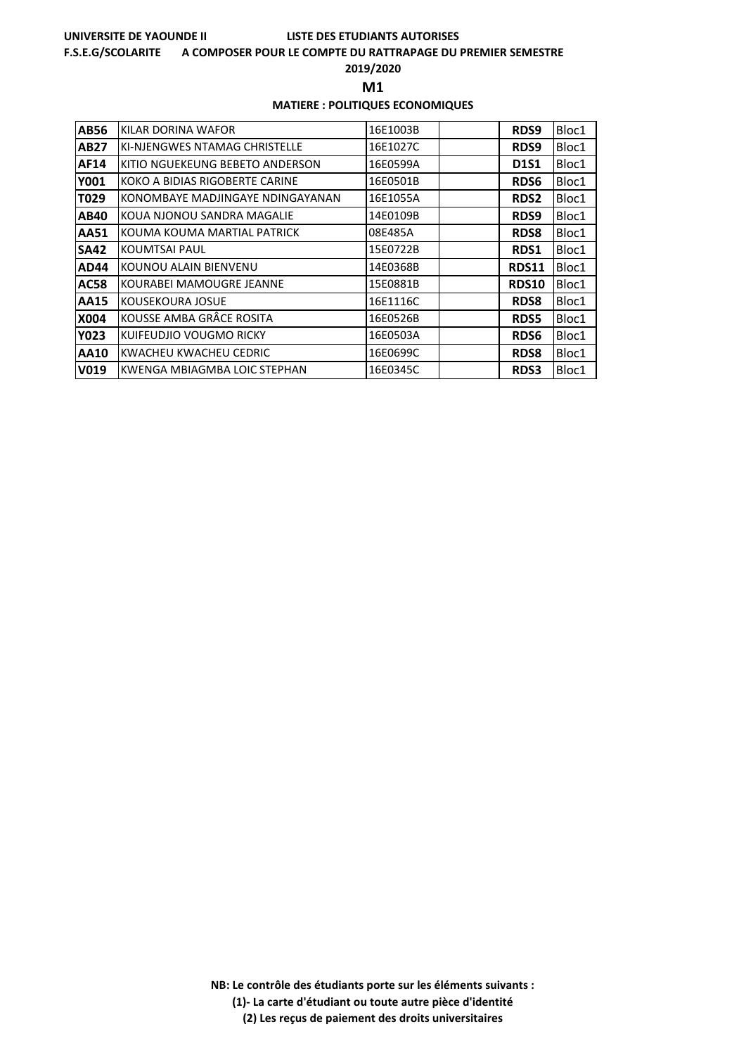### **F.S.E.G/SCOLARITE A COMPOSER POUR LE COMPTE DU RATTRAPAGE DU PREMIER SEMESTRE**

**2019/2020**

**M1** 

### **MATIERE : POLITIQUES ECONOMIQUES**

| AB56        | KILAR DORINA WAFOR               | 16E1003B | RDS9         | Bloc1 |
|-------------|----------------------------------|----------|--------------|-------|
| AB27        | KI-NJENGWES NTAMAG CHRISTELLE    | 16E1027C | RDS9         | Bloc1 |
| AF14        | KITIO NGUEKEUNG BEBETO ANDERSON  | 16E0599A | <b>D1S1</b>  | Bloc1 |
| Y001        | KOKO A BIDIAS RIGOBERTE CARINE   | 16E0501B | <b>RDS6</b>  | Bloc1 |
| T029        | KONOMBAYE MADJINGAYE NDINGAYANAN | 16E1055A | <b>RDS2</b>  | Bloc1 |
| AB40        | KOUA NJONOU SANDRA MAGALIE       | 14E0109B | RDS9         | Bloc1 |
| AA51        | KOUMA KOUMA MARTIAL PATRICK      | 08E485A  | <b>RDS8</b>  | Bloc1 |
| SA42        | <b>KOUMTSAI PAUL</b>             | 15E0722B | RDS1         | Bloc1 |
| AD44        | KOUNOU ALAIN BIENVENU            | 14E0368B | RDS11        | Bloc1 |
| <b>AC58</b> | KOURABEI MAMOUGRE JEANNE         | 15E0881B | <b>RDS10</b> | Bloc1 |
| <b>AA15</b> | KOUSEKOURA JOSUE                 | 16E1116C | <b>RDS8</b>  | Bloc1 |
| X004        | KOUSSE AMBA GRÂCE ROSITA         | 16E0526B | <b>RDS5</b>  | Bloc1 |
| Y023        | KUIFEUDJIO VOUGMO RICKY          | 16E0503A | <b>RDS6</b>  | Bloc1 |
| AA10        | KWACHEU KWACHEU CEDRIC           | 16E0699C | <b>RDS8</b>  | Bloc1 |
| V019        | KWENGA MBIAGMBA LOIC STEPHAN     | 16E0345C | <b>RDS3</b>  | Bloc1 |

**NB: Le contrôle des étudiants porte sur les éléments suivants : (1)- La carte d'étudiant ou toute autre pièce d'identité**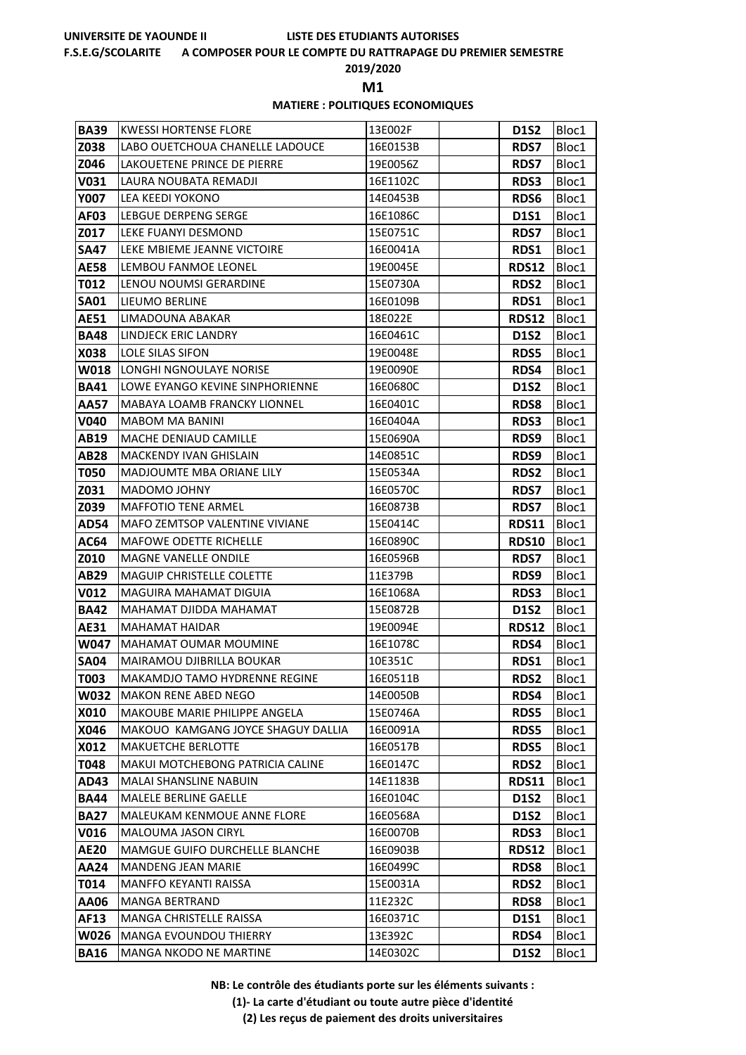### **F.S.E.G/SCOLARITE A COMPOSER POUR LE COMPTE DU RATTRAPAGE DU PREMIER SEMESTRE**

**2019/2020**

**M1** 

### **MATIERE : POLITIQUES ECONOMIQUES**

| <b>BA39</b>         | <b>KWESSI HORTENSE FLORE</b>                    | 13E002F              | D1S2                 | Bloc1          |
|---------------------|-------------------------------------------------|----------------------|----------------------|----------------|
| Z038                | LABO OUETCHOUA CHANELLE LADOUCE                 | 16E0153B             | <b>RDS7</b>          | Bloc1          |
| Z046                | LAKOUETENE PRINCE DE PIERRE                     | 19E0056Z             | <b>RDS7</b>          | Bloc1          |
| V031                | LAURA NOUBATA REMADJI                           | 16E1102C             | <b>RDS3</b>          | Bloc1          |
| Y007                | LEA KEEDI YOKONO                                | 14E0453B             | RDS6                 | Bloc1          |
| AF03                | LEBGUE DERPENG SERGE                            | 16E1086C             | <b>D1S1</b>          | Bloc1          |
| Z017                | LEKE FUANYI DESMOND                             | 15E0751C             | <b>RDS7</b>          | Bloc1          |
| SA47                | LEKE MBIEME JEANNE VICTOIRE                     | 16E0041A             | <b>RDS1</b>          | Bloc1          |
| AE58                | LEMBOU FANMOE LEONEL                            | 19E0045E             | <b>RDS12</b>         | Bloc1          |
| T012                | LENOU NOUMSI GERARDINE                          | 15E0730A             | <b>RDS2</b>          | Bloc1          |
| <b>SA01</b>         | LIEUMO BERLINE                                  | 16E0109B             | RDS1                 | Bloc1          |
| <b>AE51</b>         | LIMADOUNA ABAKAR                                | 18E022E              | <b>RDS12</b>         | Bloc1          |
| <b>BA48</b>         | LINDJECK ERIC LANDRY                            | 16E0461C             | <b>D1S2</b>          | Bloc1          |
| X038                | LOLE SILAS SIFON                                | 19E0048E             | <b>RDS5</b>          | Bloc1          |
| W018                | LONGHI NGNOULAYE NORISE                         | 19E0090E             | RDS4                 | Bloc1          |
| <b>BA41</b>         | LOWE EYANGO KEVINE SINPHORIENNE                 | 16E0680C             | <b>D1S2</b>          | Bloc1          |
| AA57                | <b>MABAYA LOAMB FRANCKY LIONNEL</b>             | 16E0401C             | <b>RDS8</b>          | Bloc1          |
| V040                | MABOM MA BANINI                                 | 16E0404A             | <b>RDS3</b>          | Bloc1          |
| AB19                | MACHE DENIAUD CAMILLE                           | 15E0690A             | RDS9                 | Bloc1          |
| <b>AB28</b>         | <b>MACKENDY IVAN GHISLAIN</b>                   | 14E0851C             | RDS9                 | Bloc1          |
| <b>T050</b>         | MADJOUMTE MBA ORIANE LILY                       | 15E0534A             | <b>RDS2</b>          | Bloc1          |
| Z031                | MADOMO JOHNY                                    | 16E0570C             | <b>RDS7</b>          | Bloc1          |
| Z039                | <b>MAFFOTIO TENE ARMEL</b>                      | 16E0873B             | <b>RDS7</b>          | Bloc1          |
| AD54                | MAFO ZEMTSOP VALENTINE VIVIANE                  | 15E0414C             | <b>RDS11</b>         | Bloc1          |
| AC64                | <b>MAFOWE ODETTE RICHELLE</b>                   | 16E0890C             | RDS10                | Bloc1          |
| Z010                | MAGNE VANELLE ONDILE                            | 16E0596B             | <b>RDS7</b>          | Bloc1          |
| AB29                | <b>MAGUIP CHRISTELLE COLETTE</b>                | 11E379B              | RDS9                 | Bloc1          |
| V012                | MAGUIRA MAHAMAT DIGUIA                          | 16E1068A             | <b>RDS3</b>          | Bloc1          |
| <b>BA42</b>         | MAHAMAT DJIDDA MAHAMAT<br><b>MAHAMAT HAIDAR</b> | 15E0872B<br>19E0094E | <b>D1S2</b>          | Bloc1          |
| AE31<br><b>W047</b> | <b>MAHAMAT OUMAR MOUMINE</b>                    |                      | <b>RDS12</b><br>RDS4 | Bloc1          |
| <b>SA04</b>         | MAIRAMOU DJIBRILLA BOUKAR                       | 16E1078C<br>10E351C  | RDS1                 | Bloc1<br>Bloc1 |
| T003                | MAKAMDJO TAMO HYDRENNE REGINE                   | 16E0511B             | RDS2                 | Bloc1          |
| W032                | <b>MAKON RENE ABED NEGO</b>                     | 14E0050B             | RDS4                 | Bloc1          |
| X010                | MAKOUBE MARIE PHILIPPE ANGELA                   | 15E0746A             | <b>RDS5</b>          | Bloc1          |
| X046                | MAKOUO KAMGANG JOYCE SHAGUY DALLIA              | 16E0091A             | <b>RDS5</b>          | Bloc1          |
| X012                | <b>MAKUETCHE BERLOTTE</b>                       | 16E0517B             | <b>RDS5</b>          | Bloc1          |
| T048                | MAKUI MOTCHEBONG PATRICIA CALINE                | 16E0147C             | RDS2                 | Bloc1          |
| AD43                | MALAI SHANSLINE NABUIN                          | 14E1183B             | <b>RDS11</b>         | Bloc1          |
| <b>BA44</b>         | MALELE BERLINE GAELLE                           | 16E0104C             | <b>D1S2</b>          | Bloc1          |
| <b>BA27</b>         | MALEUKAM KENMOUE ANNE FLORE                     | 16E0568A             | <b>D1S2</b>          | Bloc1          |
| V016                | MALOUMA JASON CIRYL                             | 16E0070B             | <b>RDS3</b>          | Bloc1          |
| <b>AE20</b>         | <b>MAMGUE GUIFO DURCHELLE BLANCHE</b>           | 16E0903B             | <b>RDS12</b>         | Bloc1          |
| AA24                | MANDENG JEAN MARIE                              | 16E0499C             | <b>RDS8</b>          | Bloc1          |
| T014                | MANFFO KEYANTI RAISSA                           | 15E0031A             | <b>RDS2</b>          | Bloc1          |
| <b>AA06</b>         | <b>MANGA BERTRAND</b>                           | 11E232C              | <b>RDS8</b>          | Bloc1          |
| AF13                | MANGA CHRISTELLE RAISSA                         | 16E0371C             | <b>D1S1</b>          | Bloc1          |
| W026                | MANGA EVOUNDOU THIERRY                          | 13E392C              | RDS4                 | Bloc1          |
| <b>BA16</b>         | MANGA NKODO NE MARTINE                          | 14E0302C             | <b>D1S2</b>          | Bloc1          |

**NB: Le contrôle des étudiants porte sur les éléments suivants :**

**(1)- La carte d'étudiant ou toute autre pièce d'identité**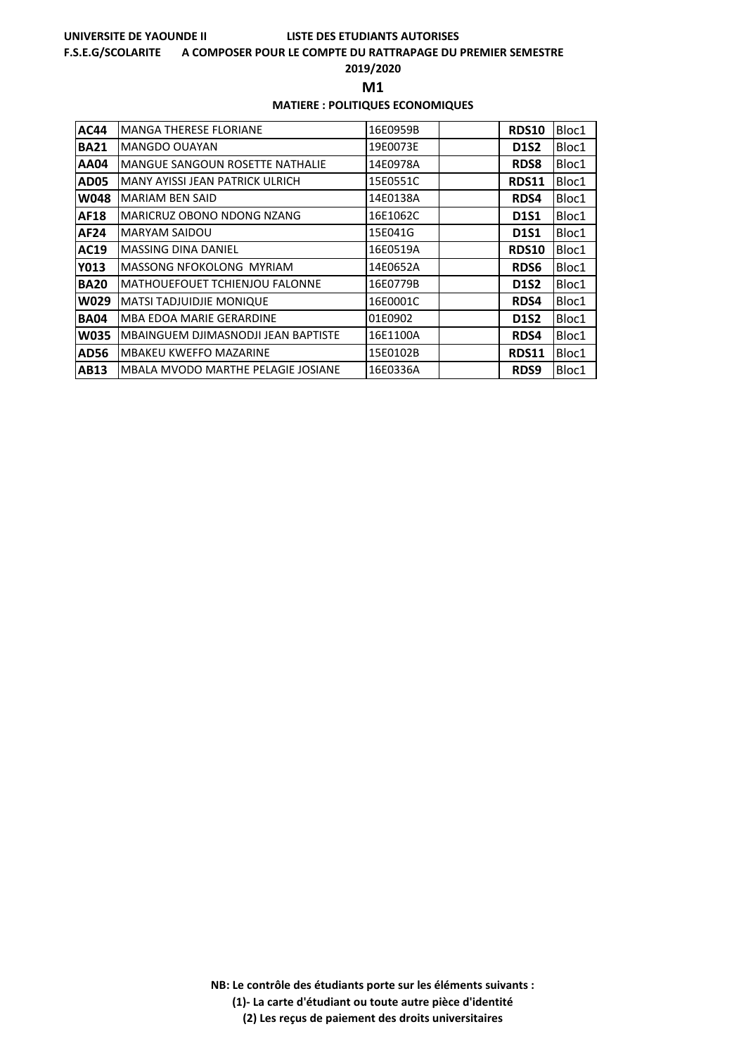### **F.S.E.G/SCOLARITE A COMPOSER POUR LE COMPTE DU RATTRAPAGE DU PREMIER SEMESTRE**

**2019/2020**

**M1** 

### **MATIERE : POLITIQUES ECONOMIQUES**

| <b>AC44</b> | <b>MANGA THERESE FLORIANE</b>          | 16E0959B | <b>RDS10</b> | Bloc1 |
|-------------|----------------------------------------|----------|--------------|-------|
| <b>BA21</b> | MANGDO OUAYAN                          | 19E0073E | <b>D1S2</b>  | Bloc1 |
| <b>AA04</b> | <b>MANGUE SANGOUN ROSETTE NATHALIE</b> | 14E0978A | <b>RDS8</b>  | Bloc1 |
| <b>AD05</b> | MANY AYISSI JEAN PATRICK ULRICH        | 15E0551C | RDS11        | Bloc1 |
| W048        | <b>MARIAM BEN SAID</b>                 | 14E0138A | RDS4         | Bloc1 |
| AF18        | MARICRUZ OBONO NDONG NZANG             | 16E1062C | <b>D1S1</b>  | Bloc1 |
| <b>AF24</b> | <b>MARYAM SAIDOU</b>                   | 15E041G  | <b>D1S1</b>  | Bloc1 |
| AC19        | <b>MASSING DINA DANIEL</b>             | 16E0519A | <b>RDS10</b> | Bloc1 |
| <b>Y013</b> | MASSONG NFOKOLONG MYRIAM               | 14E0652A | <b>RDS6</b>  | Bloc1 |
| <b>BA20</b> | <b>MATHOUEFOUET TCHIENJOU FALONNE</b>  | 16E0779B | <b>D1S2</b>  | Bloc1 |
| <b>W029</b> | <b>MATSI TADJUIDJIE MONIQUE</b>        | 16E0001C | <b>RDS4</b>  | Bloc1 |
| <b>BA04</b> | <b>MBA EDOA MARIE GERARDINE</b>        | 01E0902  | <b>D1S2</b>  | Bloc1 |
| <b>W035</b> | MBAINGUEM DJIMASNODJI JEAN BAPTISTE    | 16E1100A | RDS4         | Bloc1 |
| <b>AD56</b> | <b>MBAKEU KWEFFO MAZARINE</b>          | 15E0102B | <b>RDS11</b> | Bloc1 |
| <b>AB13</b> | MBALA MVODO MARTHE PELAGIE JOSIANE     | 16E0336A | RDS9         | Bloc1 |

**NB: Le contrôle des étudiants porte sur les éléments suivants : (1)- La carte d'étudiant ou toute autre pièce d'identité**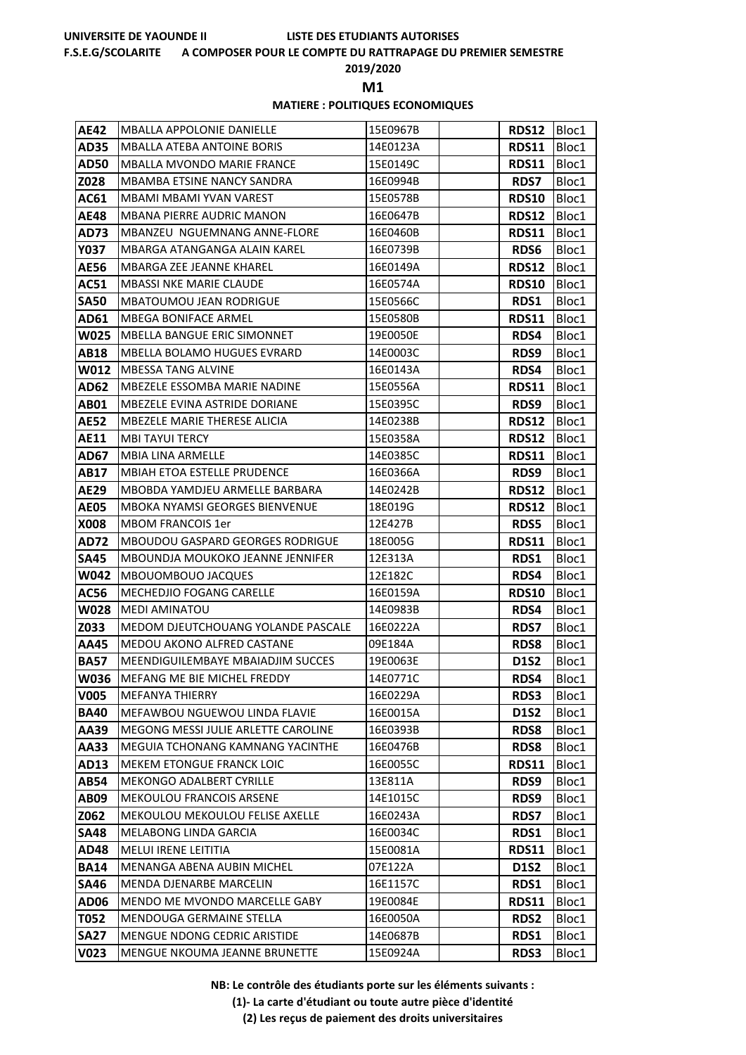### **F.S.E.G/SCOLARITE A COMPOSER POUR LE COMPTE DU RATTRAPAGE DU PREMIER SEMESTRE**

**2019/2020**

**M1** 

## **MATIERE : POLITIQUES ECONOMIQUES**

| AE42                | <b>MBALLA APPOLONIE DANIELLE</b>                                       | 15E0967B             | <b>RDS12</b>        | Bloc1          |
|---------------------|------------------------------------------------------------------------|----------------------|---------------------|----------------|
| AD35                | MBALLA ATEBA ANTOINE BORIS                                             | 14E0123A             | <b>RDS11</b>        | Bloc1          |
| AD50                | <b>MBALLA MVONDO MARIE FRANCE</b>                                      | 15E0149C             | <b>RDS11</b>        | Bloc1          |
| Z028                | MBAMBA ETSINE NANCY SANDRA                                             | 16E0994B             | <b>RDS7</b>         | Bloc1          |
| AC61                | MBAMI MBAMI YVAN VAREST                                                | 15E0578B             | <b>RDS10</b>        | Bloc1          |
| AE48                | <b>MBANA PIERRE AUDRIC MANON</b>                                       | 16E0647B             | <b>RDS12</b>        | Bloc1          |
| AD73                | MBANZEU NGUEMNANG ANNE-FLORE                                           | 16E0460B             | <b>RDS11</b>        | Bloc1          |
| Y037                | MBARGA ATANGANGA ALAIN KAREL                                           | 16E0739B             | <b>RDS6</b>         | Bloc1          |
| <b>AE56</b>         | MBARGA ZEE JEANNE KHAREL                                               | 16E0149A             | <b>RDS12</b>        | Bloc1          |
| AC51                | <b>MBASSI NKE MARIE CLAUDE</b>                                         | 16E0574A             | <b>RDS10</b>        | Bloc1          |
| <b>SA50</b>         | <b>MBATOUMOU JEAN RODRIGUE</b>                                         | 15E0566C             | RDS1                | Bloc1          |
| AD61                | <b>MBEGA BONIFACE ARMEL</b>                                            | 15E0580B             | <b>RDS11</b>        | Bloc1          |
| W025                | <b>MBELLA BANGUE ERIC SIMONNET</b>                                     | 19E0050E             | RDS4                | Bloc1          |
| <b>AB18</b>         | MBELLA BOLAMO HUGUES EVRARD                                            | 14E0003C             | RDS9                | Bloc1          |
| W012                | <b>MBESSA TANG ALVINE</b>                                              | 16E0143A             | RDS4                | Bloc1          |
| AD62                | MBEZELE ESSOMBA MARIE NADINE                                           | 15E0556A             | <b>RDS11</b>        | Bloc1          |
| AB01                | <b>MBEZELE EVINA ASTRIDE DORIANE</b>                                   | 15E0395C             | RDS9                | Bloc1          |
| <b>AE52</b>         | MBEZELE MARIE THERESE ALICIA                                           | 14E0238B             | <b>RDS12</b>        | Bloc1          |
| <b>AE11</b>         | MBI TAYUI TERCY                                                        | 15E0358A             | <b>RDS12</b>        | Bloc1          |
| AD67                | <b>MBIA LINA ARMELLE</b>                                               | 14E0385C             | <b>RDS11</b>        | Bloc1          |
| AB17                | MBIAH ETOA ESTELLE PRUDENCE                                            | 16E0366A             | RDS9                | Bloc1          |
| AE29                | MBOBDA YAMDJEU ARMELLE BARBARA                                         | 14E0242B             | <b>RDS12</b>        | Bloc1          |
| <b>AE05</b>         | MBOKA NYAMSI GEORGES BIENVENUE                                         | 18E019G              | <b>RDS12</b>        | Bloc1          |
| <b>X008</b>         | MBOM FRANCOIS 1er                                                      | 12E427B              | <b>RDS5</b>         | Bloc1          |
| AD72                | <b>MBOUDOU GASPARD GEORGES RODRIGUE</b>                                | 18E005G              | <b>RDS11</b>        | Bloc1          |
| <b>SA45</b>         | MBOUNDJA MOUKOKO JEANNE JENNIFER                                       | 12E313A              | RDS1                | Bloc1          |
| W042                | MBOUOMBOUO JACQUES                                                     | 12E182C              | RDS4                | Bloc1          |
| AC56                | <b>MECHEDJIO FOGANG CARELLE</b>                                        | 16E0159A             | <b>RDS10</b>        | Bloc1          |
| <b>W028</b>         | <b>MEDI AMINATOU</b>                                                   | 14E0983B             | RDS4                | Bloc1          |
| Z033                | MEDOM DJEUTCHOUANG YOLANDE PASCALE                                     | 16E0222A             | <b>RDS7</b>         | Bloc1          |
| AA45                | <b>MEDOU AKONO ALFRED CASTANE</b><br>MEENDIGUILEMBAYE MBAIADJIM SUCCES | 09E184A              | <b>RDS8</b>         | Bloc1          |
| <b>BA57</b><br>W036 | <b>MEFANG ME BIE MICHEL FREDDY</b>                                     | 19E0063E<br>14E0771C | <b>D1S2</b><br>RDS4 | Bloc1          |
| V005                | <b>MEFANYA THIERRY</b>                                                 | 16E0229A             | <b>RDS3</b>         | Bloc1<br>Bloc1 |
| <b>BA40</b>         | <b>MEFAWBOU NGUEWOU LINDA FLAVIE</b>                                   | 16E0015A             | <b>D1S2</b>         | Bloc1          |
| AA39                | MEGONG MESSI JULIE ARLETTE CAROLINE                                    | 16E0393B             | <b>RDS8</b>         | Bloc1          |
| AA33                | MEGUIA TCHONANG KAMNANG YACINTHE                                       | 16E0476B             | <b>RDS8</b>         | Bloc1          |
| AD13                | <b>MEKEM ETONGUE FRANCK LOIC</b>                                       | 16E0055C             | <b>RDS11</b>        | Bloc1          |
| AB54                | <b>MEKONGO ADALBERT CYRILLE</b>                                        | 13E811A              | RDS9                | Bloc1          |
| <b>AB09</b>         | <b>MEKOULOU FRANCOIS ARSENE</b>                                        | 14E1015C             | RDS9                | Bloc1          |
| Z062                | MEKOULOU MEKOULOU FELISE AXELLE                                        | 16E0243A             | <b>RDS7</b>         | Bloc1          |
| <b>SA48</b>         | MELABONG LINDA GARCIA                                                  | 16E0034C             | RDS1                | Bloc1          |
| <b>AD48</b>         | MELUI IRENE LEITITIA                                                   | 15E0081A             | <b>RDS11</b>        | Bloc1          |
| <b>BA14</b>         | <b>MENANGA ABENA AUBIN MICHEL</b>                                      | 07E122A              | <b>D1S2</b>         | Bloc1          |
| <b>SA46</b>         | MENDA DJENARBE MARCELIN                                                | 16E1157C             | RDS1                | Bloc1          |
| <b>AD06</b>         | MENDO ME MVONDO MARCELLE GABY                                          | 19E0084E             | <b>RDS11</b>        | Bloc1          |
| T052                | MENDOUGA GERMAINE STELLA                                               | 16E0050A             | <b>RDS2</b>         | Bloc1          |
| <b>SA27</b>         | MENGUE NDONG CEDRIC ARISTIDE                                           | 14E0687B             | RDS1                | Bloc1          |
| V023                | <b>MENGUE NKOUMA JEANNE BRUNETTE</b>                                   | 15E0924A             | <b>RDS3</b>         | Bloc1          |

**NB: Le contrôle des étudiants porte sur les éléments suivants :**

**(1)- La carte d'étudiant ou toute autre pièce d'identité**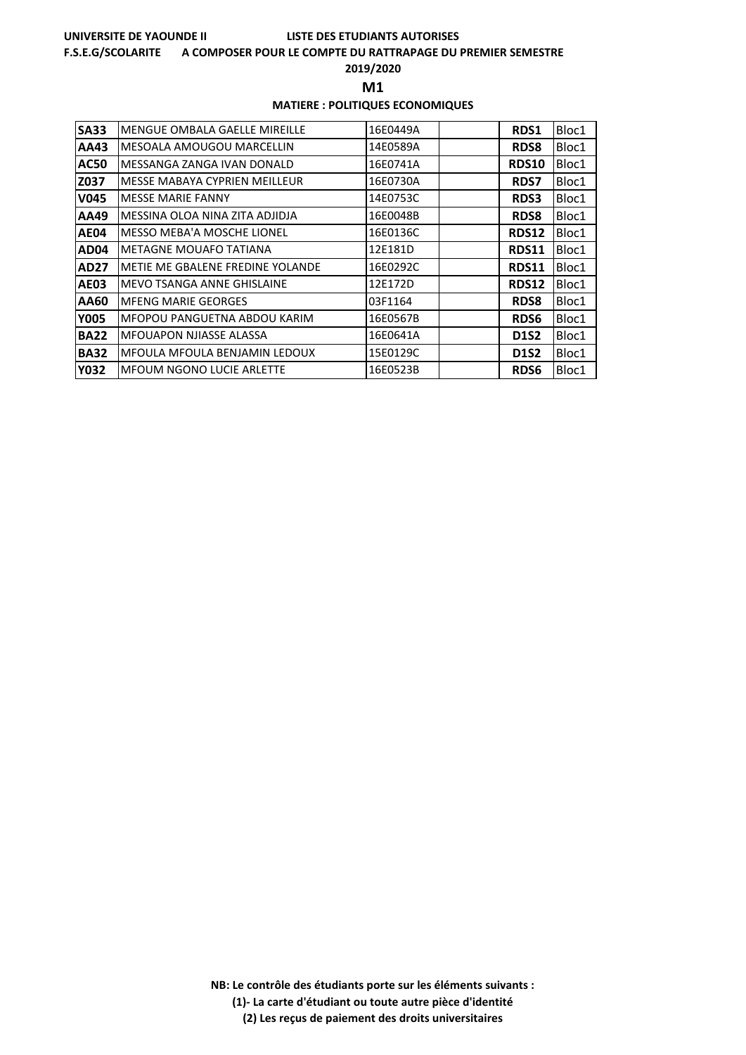### **F.S.E.G/SCOLARITE A COMPOSER POUR LE COMPTE DU RATTRAPAGE DU PREMIER SEMESTRE**

**2019/2020**

**M1** 

### **MATIERE : POLITIQUES ECONOMIQUES**

| <b>SA33</b> | <b>MENGUE OMBALA GAELLE MIREILLE</b> | 16E0449A | RDS1         | Bloc1 |
|-------------|--------------------------------------|----------|--------------|-------|
| AA43        | MESOALA AMOUGOU MARCELLIN            | 14E0589A | <b>RDS8</b>  | Bloc1 |
| <b>AC50</b> | MESSANGA ZANGA IVAN DONALD           | 16E0741A | <b>RDS10</b> | Bloc1 |
| Z037        | MESSE MABAYA CYPRIEN MEILLEUR        | 16E0730A | <b>RDS7</b>  | Bloc1 |
| <b>V045</b> | <b>MESSE MARIE FANNY</b>             | 14E0753C | <b>RDS3</b>  | Bloc1 |
| AA49        | MESSINA OLOA NINA ZITA ADJIDJA       | 16E0048B | <b>RDS8</b>  | Bloc1 |
| <b>AE04</b> | <b>MESSO MEBA'A MOSCHE LIONEL</b>    | 16E0136C | RDS12        | Bloc1 |
| AD04        | METAGNE MOUAFO TATIANA               | 12E181D  | RDS11        | Bloc1 |
| AD27        | METIE ME GBALENE FREDINE YOLANDE     | 16E0292C | <b>RDS11</b> | Bloc1 |
| <b>AE03</b> | MEVO TSANGA ANNE GHISLAINE           | 12E172D  | RDS12        | Bloc1 |
| AA60        | <b>MFENG MARIE GEORGES</b>           | 03F1164  | <b>RDS8</b>  | Bloc1 |
| <b>Y005</b> | MFOPOU PANGUETNA ABDOU KARIM         | 16E0567B | <b>RDS6</b>  | Bloc1 |
| <b>BA22</b> | <b>MFOUAPON NJIASSE ALASSA</b>       | 16E0641A | <b>D1S2</b>  | Bloc1 |
| <b>BA32</b> | MFOULA MFOULA BENJAMIN LEDOUX        | 15E0129C | <b>D1S2</b>  | Bloc1 |
| <b>Y032</b> | <b>MFOUM NGONO LUCIE ARLETTE</b>     | 16E0523B | <b>RDS6</b>  | Bloc1 |

**NB: Le contrôle des étudiants porte sur les éléments suivants : (1)- La carte d'étudiant ou toute autre pièce d'identité**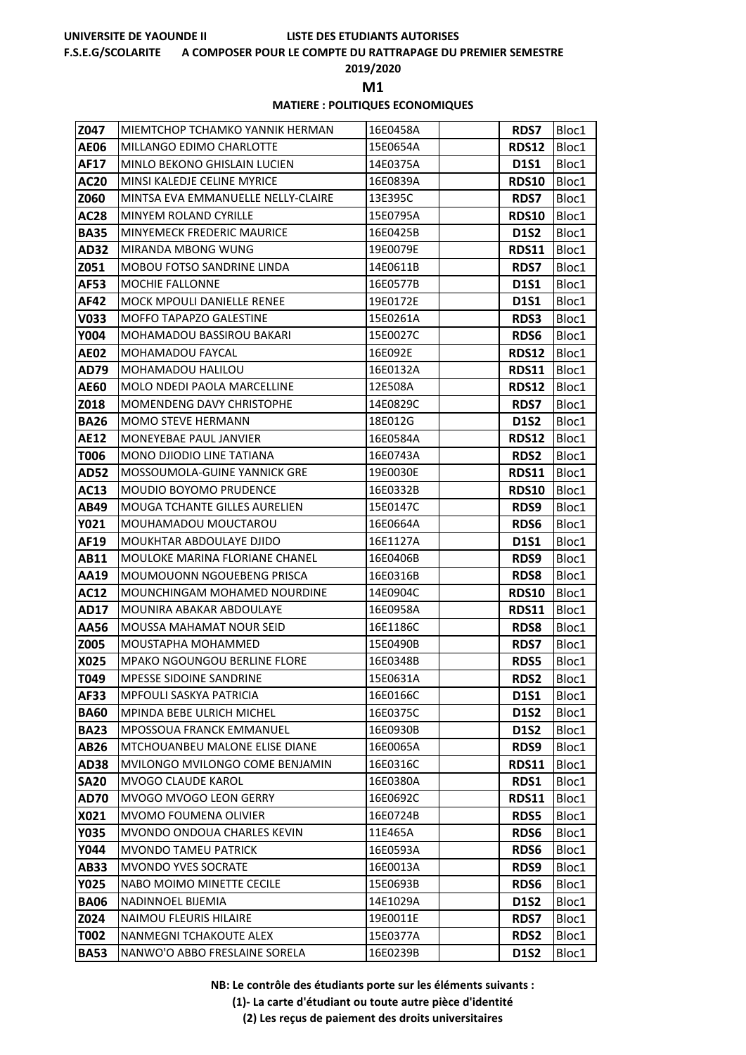### **F.S.E.G/SCOLARITE A COMPOSER POUR LE COMPTE DU RATTRAPAGE DU PREMIER SEMESTRE**

**2019/2020**

**M1** 

### **MATIERE : POLITIQUES ECONOMIQUES**

| Z047         | MIEMTCHOP TCHAMKO YANNIK HERMAN                            | 16E0458A             | <b>RDS7</b>                | Bloc1          |
|--------------|------------------------------------------------------------|----------------------|----------------------------|----------------|
| <b>AE06</b>  | MILLANGO EDIMO CHARLOTTE                                   | 15E0654A             | <b>RDS12</b>               | Bloc1          |
| AF17         | MINLO BEKONO GHISLAIN LUCIEN                               | 14E0375A             | <b>D1S1</b>                | Bloc1          |
| <b>AC20</b>  | MINSI KALEDJE CELINE MYRICE                                | 16E0839A             | <b>RDS10</b>               | Bloc1          |
| <b>Z060</b>  | MINTSA EVA EMMANUELLE NELLY-CLAIRE                         | 13E395C              | <b>RDS7</b>                | Bloc1          |
| <b>AC28</b>  | MINYEM ROLAND CYRILLE                                      | 15E0795A             | <b>RDS10</b>               | Bloc1          |
| <b>BA35</b>  | <b>MINYEMECK FREDERIC MAURICE</b>                          | 16E0425B             | <b>D1S2</b>                | Bloc1          |
| AD32         | MIRANDA MBONG WUNG                                         | 19E0079E             | <b>RDS11</b>               | Bloc1          |
| Z051         | <b>MOBOU FOTSO SANDRINE LINDA</b>                          | 14E0611B             | <b>RDS7</b>                | Bloc1          |
| <b>AF53</b>  | MOCHIE FALLONNE                                            | 16E0577B             | <b>D1S1</b>                | Bloc1          |
| AF42         | MOCK MPOULI DANIELLE RENEE                                 | 19E0172E             | D1S1                       | Bloc1          |
| V033         | <b>MOFFO TAPAPZO GALESTINE</b>                             | 15E0261A             | <b>RDS3</b>                | Bloc1          |
| Y004         | MOHAMADOU BASSIROU BAKARI                                  | 15E0027C             | <b>RDS6</b>                | Bloc1          |
| <b>AE02</b>  | MOHAMADOU FAYCAL                                           | 16E092E              | RDS12                      | Bloc1          |
| <b>AD79</b>  | MOHAMADOU HALILOU                                          | 16E0132A             | RDS11                      | Bloc1          |
| AE60         | MOLO NDEDI PAOLA MARCELLINE                                | 12E508A              | <b>RDS12</b>               | Bloc1          |
| Z018         | MOMENDENG DAVY CHRISTOPHE                                  | 14E0829C             | <b>RDS7</b>                | Bloc1          |
| <b>BA26</b>  | MOMO STEVE HERMANN                                         | 18E012G              | D1S2                       | Bloc1          |
| AE12         | MONEYEBAE PAUL JANVIER                                     | 16E0584A             | <b>RDS12</b>               | Bloc1          |
| T006         | MONO DJIODIO LINE TATIANA                                  | 16E0743A             | <b>RDS2</b>                | Bloc1          |
| <b>AD52</b>  | MOSSOUMOLA-GUINE YANNICK GRE                               | 19E0030E             | RDS11                      | Bloc1          |
| AC13         | <b>MOUDIO BOYOMO PRUDENCE</b>                              | 16E0332B             | <b>RDS10</b>               | Bloc1          |
| AB49         | <b>MOUGA TCHANTE GILLES AURELIEN</b>                       | 15E0147C             | RDS9                       | Bloc1          |
| Y021         | MOUHAMADOU MOUCTAROU                                       | 16E0664A             | <b>RDS6</b>                | Bloc1          |
| AF19         | MOUKHTAR ABDOULAYE DJIDO                                   | 16E1127A             | <b>D1S1</b>                | Bloc1          |
| AB11         | MOULOKE MARINA FLORIANE CHANEL                             | 16E0406B             | RDS9                       | Bloc1          |
| AA19         | MOUMOUONN NGOUEBENG PRISCA<br>MOUNCHINGAM MOHAMED NOURDINE | 16E0316B<br>14E0904C | <b>RDS8</b>                | Bloc1          |
| <b>AC12</b>  | MOUNIRA ABAKAR ABDOULAYE                                   |                      | <b>RDS10</b>               | Bloc1          |
| AD17         | <b>MOUSSA MAHAMAT NOUR SEID</b>                            | 16E0958A<br>16E1186C | RDS11                      | Bloc1          |
| AA56<br>Z005 | MOUSTAPHA MOHAMMED                                         | 15E0490B             | <b>RDS8</b><br><b>RDS7</b> | Bloc1<br>Bloc1 |
| X025         | <b>MPAKO NGOUNGOU BERLINE FLORE</b>                        | 16E0348B             | <b>RDS5</b>                | Bloc1          |
| T049         | MPESSE SIDOINE SANDRINE                                    | 15E0631A             | RDS2                       | Bloc1          |
| <b>AF33</b>  | <b>MPFOULI SASKYA PATRICIA</b>                             | 16E0166C             | <b>D1S1</b>                | Bloc1          |
| <b>BA60</b>  | <b>MPINDA BEBE ULRICH MICHEL</b>                           | 16E0375C             | <b>D1S2</b>                | Bloc1          |
| <b>BA23</b>  | MPOSSOUA FRANCK EMMANUEL                                   | 16E0930B             | <b>D1S2</b>                | Bloc1          |
| AB26         | MTCHOUANBEU MALONE ELISE DIANE                             | 16E0065A             | RDS9                       | Bloc1          |
| <b>AD38</b>  | MVILONGO MVILONGO COME BENJAMIN                            | 16E0316C             | <b>RDS11</b>               | Bloc1          |
| <b>SA20</b>  | MVOGO CLAUDE KAROL                                         | 16E0380A             | RDS1                       | Bloc1          |
| <b>AD70</b>  | MVOGO MVOGO LEON GERRY                                     | 16E0692C             | <b>RDS11</b>               | Bloc1          |
| X021         | <b>MVOMO FOUMENA OLIVIER</b>                               | 16E0724B             | <b>RDS5</b>                | Bloc1          |
| <b>Y035</b>  | MVONDO ONDOUA CHARLES KEVIN                                | 11E465A              | <b>RDS6</b>                | Bloc1          |
| Y044         | MVONDO TAMEU PATRICK                                       | 16E0593A             | <b>RDS6</b>                | Bloc1          |
| AB33         | <b>MVONDO YVES SOCRATE</b>                                 | 16E0013A             | RDS9                       | Bloc1          |
| <b>Y025</b>  | NABO MOIMO MINETTE CECILE                                  | 15E0693B             | <b>RDS6</b>                | Bloc1          |
| <b>BA06</b>  | NADINNOEL BIJEMIA                                          | 14E1029A             | <b>D1S2</b>                | Bloc1          |
| Z024         | <b>NAIMOU FLEURIS HILAIRE</b>                              | 19E0011E             | <b>RDS7</b>                | Bloc1          |
| T002         | NANMEGNI TCHAKOUTE ALEX                                    | 15E0377A             | <b>RDS2</b>                | Bloc1          |
| <b>BA53</b>  | NANWO'O ABBO FRESLAINE SORELA                              | 16E0239B             | <b>D1S2</b>                | Bloc1          |

**NB: Le contrôle des étudiants porte sur les éléments suivants :**

**(1)- La carte d'étudiant ou toute autre pièce d'identité**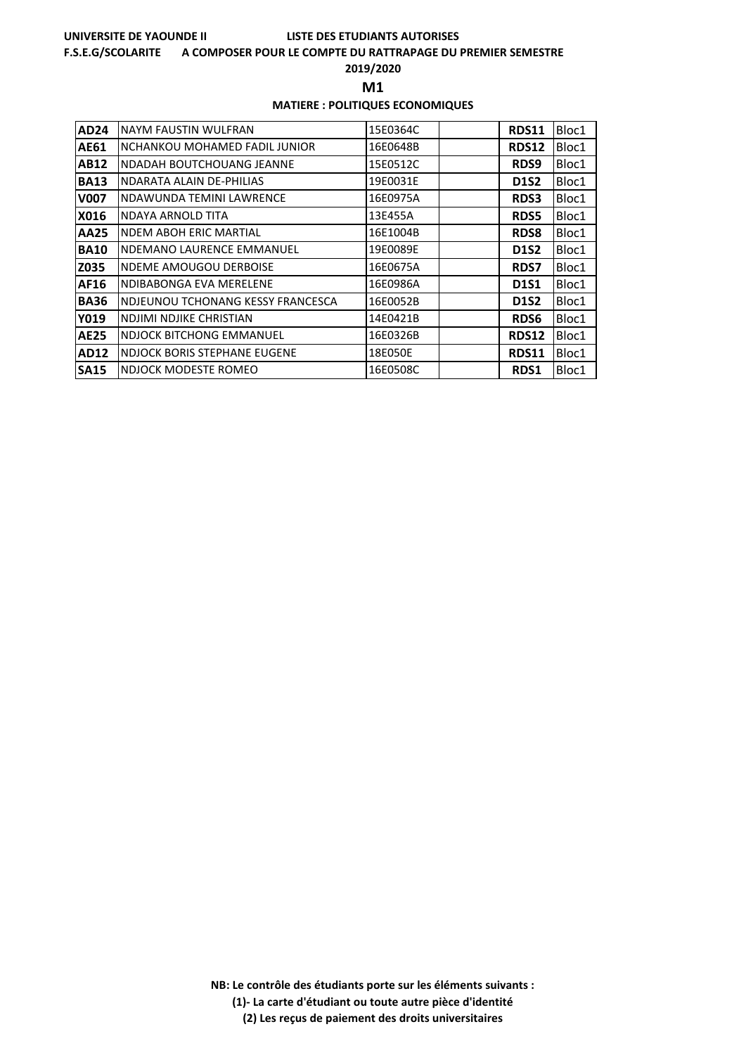### **F.S.E.G/SCOLARITE A COMPOSER POUR LE COMPTE DU RATTRAPAGE DU PREMIER SEMESTRE**

**2019/2020**

**M1** 

### **MATIERE : POLITIQUES ECONOMIQUES**

| <b>AD24</b> | NAYM FAUSTIN WULFRAN              | 15E0364C | <b>RDS11</b> | Bloc1 |
|-------------|-----------------------------------|----------|--------------|-------|
| AE61        | NCHANKOU MOHAMED FADIL JUNIOR     | 16E0648B | RDS12        | Bloc1 |
| AB12        | <b>NDADAH BOUTCHOUANG JEANNE</b>  | 15E0512C | RDS9         | Bloc1 |
| <b>BA13</b> | NDARATA ALAIN DE-PHILIAS          | 19E0031E | D1S2         | Bloc1 |
| <b>V007</b> | NDAWUNDA TEMINI LAWRENCE          | 16E0975A | <b>RDS3</b>  | Bloc1 |
| X016        | NDAYA ARNOLD TITA                 | 13E455A  | <b>RDS5</b>  | Bloc1 |
| AA25        | <b>NDEM ABOH ERIC MARTIAL</b>     | 16E1004B | <b>RDS8</b>  | Bloc1 |
| <b>BA10</b> | NDEMANO LAURENCE EMMANUEL         | 19E0089E | D1S2         | Bloc1 |
| Z035        | <b>NDEME AMOUGOU DERBOISE</b>     | 16E0675A | <b>RDS7</b>  | Bloc1 |
| AF16        | NDIBABONGA EVA MERELENE           | 16E0986A | <b>D1S1</b>  | Bloc1 |
| <b>BA36</b> | NDJEUNOU TCHONANG KESSY FRANCESCA | 16E0052B | <b>D1S2</b>  | Bloc1 |
| Y019        | NDJIMI NDJIKE CHRISTIAN           | 14E0421B | <b>RDS6</b>  | Bloc1 |
| <b>AE25</b> | <b>NDJOCK BITCHONG EMMANUEL</b>   | 16E0326B | <b>RDS12</b> | Bloc1 |
| <b>AD12</b> | NDJOCK BORIS STEPHANE EUGENE      | 18E050E  | <b>RDS11</b> | Bloc1 |
| <b>SA15</b> | NDJOCK MODESTE ROMEO              | 16E0508C | <b>RDS1</b>  | Bloc1 |

**NB: Le contrôle des étudiants porte sur les éléments suivants : (1)- La carte d'étudiant ou toute autre pièce d'identité**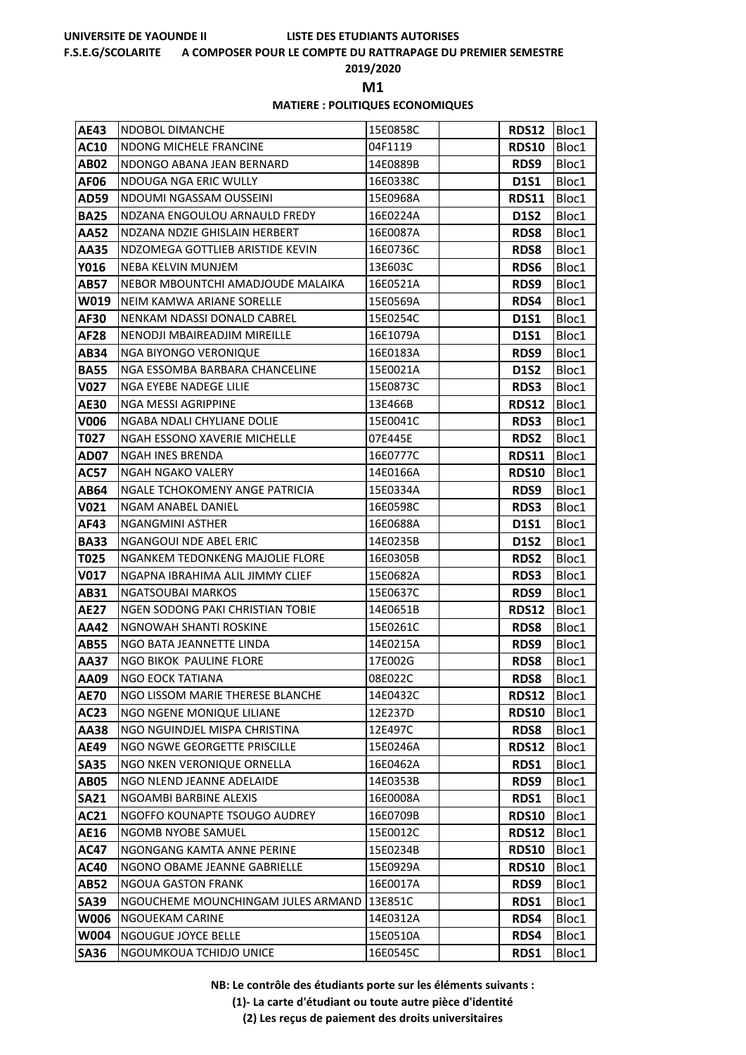### **F.S.E.G/SCOLARITE A COMPOSER POUR LE COMPTE DU RATTRAPAGE DU PREMIER SEMESTRE**

**2019/2020**

**M1** 

### **MATIERE : POLITIQUES ECONOMIQUES**

| AE43        | <b>NDOBOL DIMANCHE</b>              | 15E0858C | <b>RDS12</b> | Bloc1 |
|-------------|-------------------------------------|----------|--------------|-------|
| AC10        | NDONG MICHELE FRANCINE              | 04F1119  | <b>RDS10</b> | Bloc1 |
| AB02        | NDONGO ABANA JEAN BERNARD           | 14E0889B | RDS9         | Bloc1 |
| AF06        | NDOUGA NGA ERIC WULLY               | 16E0338C | <b>D1S1</b>  | Bloc1 |
| <b>AD59</b> | NDOUMI NGASSAM OUSSEINI             | 15E0968A | <b>RDS11</b> | Bloc1 |
| <b>BA25</b> | NDZANA ENGOULOU ARNAULD FREDY       | 16E0224A | <b>D1S2</b>  | Bloc1 |
| <b>AA52</b> | NDZANA NDZIE GHISLAIN HERBERT       | 16E0087A | <b>RDS8</b>  | Bloc1 |
| AA35        | NDZOMEGA GOTTLIEB ARISTIDE KEVIN    | 16E0736C | <b>RDS8</b>  | Bloc1 |
| Y016        | NEBA KELVIN MUNJEM                  | 13E603C  | <b>RDS6</b>  | Bloc1 |
| <b>AB57</b> | NEBOR MBOUNTCHI AMADJOUDE MALAIKA   | 16E0521A | RDS9         | Bloc1 |
| W019        | NEIM KAMWA ARIANE SORELLE           | 15E0569A | RDS4         | Bloc1 |
| AF30        | NENKAM NDASSI DONALD CABREL         | 15E0254C | <b>D1S1</b>  | Bloc1 |
| AF28        | NENODJI MBAIREADJIM MIREILLE        | 16E1079A | <b>D1S1</b>  | Bloc1 |
| AB34        | NGA BIYONGO VERONIQUE               | 16E0183A | RDS9         | Bloc1 |
| <b>BA55</b> | NGA ESSOMBA BARBARA CHANCELINE      | 15E0021A | <b>D1S2</b>  | Bloc1 |
| V027        | NGA EYEBE NADEGE LILIE              | 15E0873C | <b>RDS3</b>  | Bloc1 |
| <b>AE30</b> | NGA MESSI AGRIPPINE                 | 13E466B  | <b>RDS12</b> | Bloc1 |
| V006        | NGABA NDALI CHYLIANE DOLIE          | 15E0041C | <b>RDS3</b>  | Bloc1 |
| T027        | <b>NGAH ESSONO XAVERIE MICHELLE</b> | 07E445E  | <b>RDS2</b>  | Bloc1 |
| AD07        | <b>NGAH INES BRENDA</b>             | 16E0777C | <b>RDS11</b> | Bloc1 |
| <b>AC57</b> | NGAH NGAKO VALERY                   | 14E0166A | <b>RDS10</b> | Bloc1 |
| AB64        | NGALE TCHOKOMENY ANGE PATRICIA      | 15E0334A | RDS9         | Bloc1 |
| V021        | NGAM ANABEL DANIEL                  | 16E0598C | <b>RDS3</b>  | Bloc1 |
| AF43        | NGANGMINI ASTHER                    | 16E0688A | <b>D1S1</b>  | Bloc1 |
| <b>BA33</b> | NGANGOUI NDE ABEL ERIC              | 14E0235B | <b>D1S2</b>  | Bloc1 |
| T025        | NGANKEM TEDONKENG MAJOLIE FLORE     | 16E0305B | <b>RDS2</b>  | Bloc1 |
| V017        | NGAPNA IBRAHIMA ALIL JIMMY CLIEF    | 15E0682A | <b>RDS3</b>  | Bloc1 |
| AB31        | NGATSOUBAI MARKOS                   | 15E0637C | RDS9         | Bloc1 |
| AE27        | NGEN SODONG PAKI CHRISTIAN TOBIE    | 14E0651B | <b>RDS12</b> | Bloc1 |
| AA42        | NGNOWAH SHANTI ROSKINE              | 15E0261C | <b>RDS8</b>  | Bloc1 |
| AB55        | NGO BATA JEANNETTE LINDA            | 14E0215A | RDS9         | Bloc1 |
| AA37        | NGO BIKOK PAULINE FLORE             | 17E002G  | <b>RDS8</b>  | Bloc1 |
| AA09        | <b>NGO EOCK TATIANA</b>             | 08E022C  | <b>RDS8</b>  | Bloc1 |
| <b>AE70</b> | NGO LISSOM MARIE THERESE BLANCHE    | 14E0432C | <b>RDS12</b> | Bloc1 |
| AC23        | NGO NGENE MONIQUE LILIANE           | 12E237D  | <b>RDS10</b> | Bloc1 |
| AA38        | NGO NGUINDJEL MISPA CHRISTINA       | 12E497C  | <b>RDS8</b>  | Bloc1 |
| AE49        | NGO NGWE GEORGETTE PRISCILLE        | 15E0246A | <b>RDS12</b> | Bloc1 |
| <b>SA35</b> | NGO NKEN VERONIQUE ORNELLA          | 16E0462A | RDS1         | Bloc1 |
| <b>AB05</b> | NGO NLEND JEANNE ADELAIDE           | 14E0353B | RDS9         | Bloc1 |
| <b>SA21</b> | NGOAMBI BARBINE ALEXIS              | 16E0008A | RDS1         | Bloc1 |
| AC21        | NGOFFO KOUNAPTE TSOUGO AUDREY       | 16E0709B | <b>RDS10</b> | Bloc1 |
| AE16        | <b>NGOMB NYOBE SAMUEL</b>           | 15E0012C | <b>RDS12</b> | Bloc1 |
| <b>AC47</b> | NGONGANG KAMTA ANNE PERINE          | 15E0234B | <b>RDS10</b> | Bloc1 |
| AC40        | NGONO OBAME JEANNE GABRIELLE        | 15E0929A | <b>RDS10</b> | Bloc1 |
| AB52        | <b>NGOUA GASTON FRANK</b>           | 16E0017A | RDS9         | Bloc1 |
| <b>SA39</b> | NGOUCHEME MOUNCHINGAM JULES ARMAND  | 13E851C  | RDS1         | Bloc1 |
| <b>W006</b> | NGOUEKAM CARINE                     | 14E0312A | RDS4         | Bloc1 |
| W004        | NGOUGUE JOYCE BELLE                 | 15E0510A | RDS4         | Bloc1 |
| <b>SA36</b> | NGOUMKOUA TCHIDJO UNICE             | 16E0545C | RDS1         | Bloc1 |

**NB: Le contrôle des étudiants porte sur les éléments suivants :**

**(1)- La carte d'étudiant ou toute autre pièce d'identité**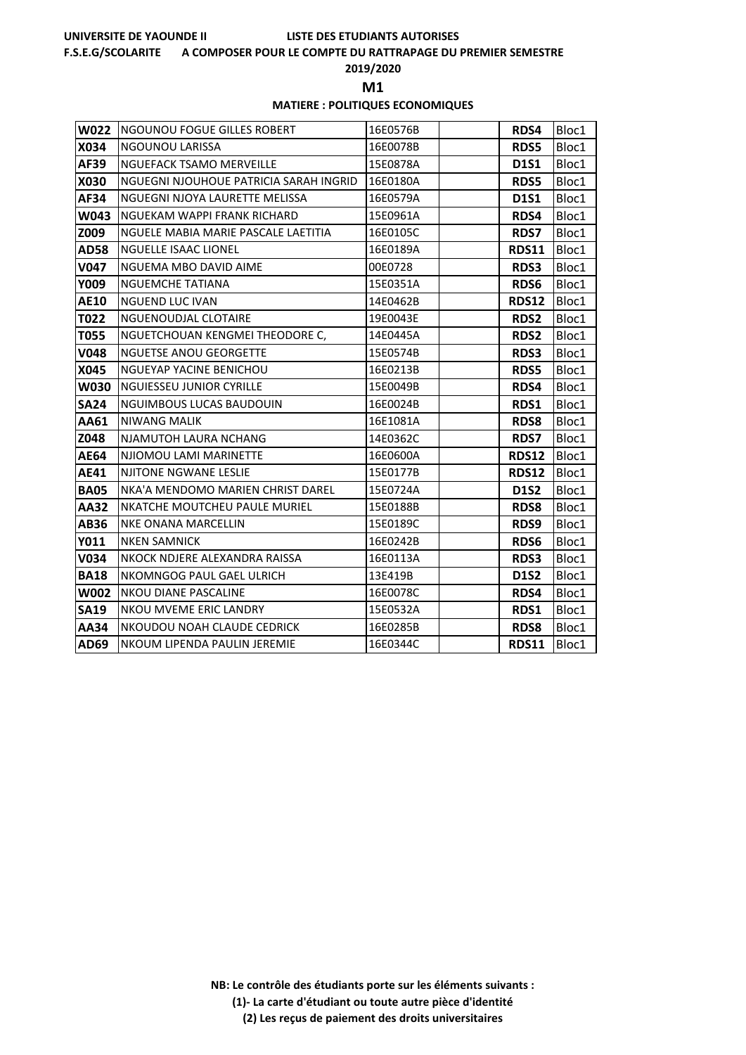### **F.S.E.G/SCOLARITE A COMPOSER POUR LE COMPTE DU RATTRAPAGE DU PREMIER SEMESTRE**

**2019/2020**

**M1** 

### **MATIERE : POLITIQUES ECONOMIQUES**

| <b>W022</b> | <b>NGOUNOU FOGUE GILLES ROBERT</b>     | 16E0576B | <b>RDS4</b>  | Bloc1 |
|-------------|----------------------------------------|----------|--------------|-------|
| X034        | <b>NGOUNOU LARISSA</b>                 | 16E0078B | <b>RDS5</b>  | Bloc1 |
| AF39        | <b>NGUEFACK TSAMO MERVEILLE</b>        | 15E0878A | <b>D1S1</b>  | Bloc1 |
| X030        | NGUEGNI NJOUHOUE PATRICIA SARAH INGRID | 16E0180A | <b>RDS5</b>  | Bloc1 |
| AF34        | NGUEGNI NJOYA LAURETTE MELISSA         | 16E0579A | <b>D1S1</b>  | Bloc1 |
| W043        | NGUEKAM WAPPI FRANK RICHARD            | 15E0961A | RDS4         | Bloc1 |
| Z009        | NGUELE MABIA MARIE PASCALE LAETITIA    | 16E0105C | <b>RDS7</b>  | Bloc1 |
| <b>AD58</b> | NGUELLE ISAAC LIONEL                   | 16E0189A | <b>RDS11</b> | Bloc1 |
| V047        | NGUEMA MBO DAVID AIME                  | 00E0728  | <b>RDS3</b>  | Bloc1 |
| Y009        | <b>NGUEMCHE TATIANA</b>                | 15E0351A | RDS6         | Bloc1 |
| <b>AE10</b> | <b>NGUEND LUC IVAN</b>                 | 14E0462B | <b>RDS12</b> | Bloc1 |
| T022        | NGUENOUDJAL CLOTAIRE                   | 19E0043E | RDS2         | Bloc1 |
| T055        | NGUETCHOUAN KENGMEI THEODORE C,        | 14E0445A | <b>RDS2</b>  | Bloc1 |
| <b>V048</b> | <b>NGUETSE ANOU GEORGETTE</b>          | 15E0574B | <b>RDS3</b>  | Bloc1 |
| X045        | <b>NGUEYAP YACINE BENICHOU</b>         | 16E0213B | <b>RDS5</b>  | Bloc1 |
| W030        | <b>NGUIESSEU JUNIOR CYRILLE</b>        | 15E0049B | RDS4         | Bloc1 |
| <b>SA24</b> | <b>NGUIMBOUS LUCAS BAUDOUIN</b>        | 16E0024B | <b>RDS1</b>  | Bloc1 |
| AA61        | <b>NIWANG MALIK</b>                    | 16E1081A | <b>RDS8</b>  | Bloc1 |
| Z048        | NJAMUTOH LAURA NCHANG                  | 14E0362C | <b>RDS7</b>  | Bloc1 |
| <b>AE64</b> | NJIOMOU LAMI MARINETTE                 | 16E0600A | <b>RDS12</b> | Bloc1 |
| AE41        | <b>NJITONE NGWANE LESLIE</b>           | 15E0177B | <b>RDS12</b> | Bloc1 |
| <b>BA05</b> | NKA'A MENDOMO MARIEN CHRIST DAREL      | 15E0724A | <b>D1S2</b>  | Bloc1 |
| AA32        | NKATCHE MOUTCHEU PAULE MURIEL          | 15E0188B | <b>RDS8</b>  | Bloc1 |
| AB36        | NKE ONANA MARCELLIN                    | 15E0189C | RDS9         | Bloc1 |
| Y011        | <b>NKEN SAMNICK</b>                    | 16E0242B | RDS6         | Bloc1 |
| V034        | NKOCK NDJERE ALEXANDRA RAISSA          | 16E0113A | RDS3         | Bloc1 |
| <b>BA18</b> | NKOMNGOG PAUL GAEL ULRICH              | 13E419B  | D1S2         | Bloc1 |
| <b>W002</b> | NKOU DIANE PASCALINE                   | 16E0078C | RDS4         | Bloc1 |
| <b>SA19</b> | NKOU MVEME ERIC LANDRY                 | 15E0532A | <b>RDS1</b>  | Bloc1 |
| AA34        | NKOUDOU NOAH CLAUDE CEDRICK            | 16E0285B | <b>RDS8</b>  | Bloc1 |
| AD69        | NKOUM LIPENDA PAULIN JEREMIE           | 16E0344C | <b>RDS11</b> | Bloc1 |

**NB: Le contrôle des étudiants porte sur les éléments suivants :**

**(1)- La carte d'étudiant ou toute autre pièce d'identité**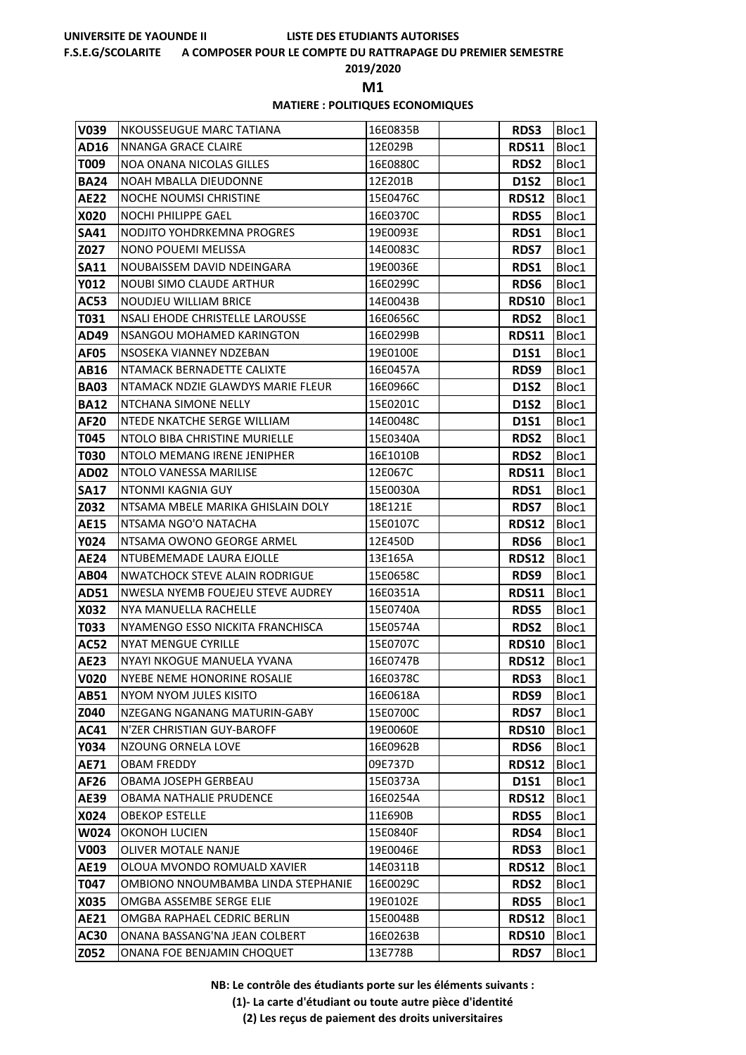### **F.S.E.G/SCOLARITE A COMPOSER POUR LE COMPTE DU RATTRAPAGE DU PREMIER SEMESTRE**

**2019/2020**

**M1** 

### **MATIERE : POLITIQUES ECONOMIQUES**

| V039        | <b>NKOUSSEUGUE MARC TATIANA</b>       | 16E0835B | <b>RDS3</b>  | Bloc1 |
|-------------|---------------------------------------|----------|--------------|-------|
| AD16        | NNANGA GRACE CLAIRE                   | 12E029B  | <b>RDS11</b> | Bloc1 |
| T009        | <b>NOA ONANA NICOLAS GILLES</b>       | 16E0880C | <b>RDS2</b>  | Bloc1 |
| <b>BA24</b> | NOAH MBALLA DIEUDONNE                 | 12E201B  | <b>D1S2</b>  | Bloc1 |
| <b>AE22</b> | NOCHE NOUMSI CHRISTINE                | 15E0476C | <b>RDS12</b> | Bloc1 |
| X020        | NOCHI PHILIPPE GAEL                   | 16E0370C | <b>RDS5</b>  | Bloc1 |
| <b>SA41</b> | NODJITO YOHDRKEMNA PROGRES            | 19E0093E | RDS1         | Bloc1 |
| Z027        | NONO POUEMI MELISSA                   | 14E0083C | <b>RDS7</b>  | Bloc1 |
| SA11        | NOUBAISSEM DAVID NDEINGARA            | 19E0036E | RDS1         | Bloc1 |
| <b>Y012</b> | <b>NOUBI SIMO CLAUDE ARTHUR</b>       | 16E0299C | <b>RDS6</b>  | Bloc1 |
| <b>AC53</b> | <b>NOUDJEU WILLIAM BRICE</b>          | 14E0043B | <b>RDS10</b> | Bloc1 |
| T031        | NSALI EHODE CHRISTELLE LAROUSSE       | 16E0656C | <b>RDS2</b>  | Bloc1 |
| AD49        | <b>NSANGOU MOHAMED KARINGTON</b>      | 16E0299B | <b>RDS11</b> | Bloc1 |
| AF05        | NSOSEKA VIANNEY NDZEBAN               | 19E0100E | <b>D1S1</b>  | Bloc1 |
| AB16        | NTAMACK BERNADETTE CALIXTE            | 16E0457A | RDS9         | Bloc1 |
| <b>BA03</b> | NTAMACK NDZIE GLAWDYS MARIE FLEUR     | 16E0966C | <b>D1S2</b>  | Bloc1 |
| <b>BA12</b> | NTCHANA SIMONE NELLY                  | 15E0201C | <b>D1S2</b>  | Bloc1 |
| AF20        | NTEDE NKATCHE SERGE WILLIAM           | 14E0048C | <b>D1S1</b>  | Bloc1 |
| T045        | NTOLO BIBA CHRISTINE MURIELLE         | 15E0340A | <b>RDS2</b>  | Bloc1 |
| T030        | NTOLO MEMANG IRENE JENIPHER           | 16E1010B | <b>RDS2</b>  | Bloc1 |
| <b>AD02</b> | NTOLO VANESSA MARILISE                | 12E067C  | <b>RDS11</b> | Bloc1 |
| <b>SA17</b> | NTONMI KAGNIA GUY                     | 15E0030A | RDS1         | Bloc1 |
| Z032        | NTSAMA MBELE MARIKA GHISLAIN DOLY     | 18E121E  | <b>RDS7</b>  | Bloc1 |
| <b>AE15</b> | NTSAMA NGO'O NATACHA                  | 15E0107C | <b>RDS12</b> | Bloc1 |
| Y024        | NTSAMA OWONO GEORGE ARMEL             | 12E450D  | RDS6         | Bloc1 |
| AE24        | NTUBEMEMADE LAURA EJOLLE              | 13E165A  | <b>RDS12</b> | Bloc1 |
| AB04        | <b>NWATCHOCK STEVE ALAIN RODRIGUE</b> | 15E0658C | RDS9         | Bloc1 |
| AD51        | NWESLA NYEMB FOUEJEU STEVE AUDREY     | 16E0351A | <b>RDS11</b> | Bloc1 |
| X032        | NYA MANUELLA RACHELLE                 | 15E0740A | <b>RDS5</b>  | Bloc1 |
| T033        | NYAMENGO ESSO NICKITA FRANCHISCA      | 15E0574A | <b>RDS2</b>  | Bloc1 |
| <b>AC52</b> | <b>NYAT MENGUE CYRILLE</b>            | 15E0707C | <b>RDS10</b> | Bloc1 |
| <b>AE23</b> | NYAYI NKOGUE MANUELA YVANA            | 16E0747B | <b>RDS12</b> | Bloc1 |
| <b>V020</b> | <b>NYEBE NEME HONORINE ROSALIE</b>    | 16E0378C | <b>RDS3</b>  | Bloc1 |
| AB51        | NYOM NYOM JULES KISITO                | 16E0618A | RDS9         | Bloc1 |
| Z040        | NZEGANG NGANANG MATURIN-GABY          | 15E0700C | <b>RDS7</b>  | Bloc1 |
| <b>AC41</b> | N'ZER CHRISTIAN GUY-BAROFF            | 19E0060E | <b>RDS10</b> | Bloc1 |
| Y034        | NZOUNG ORNELA LOVE                    | 16E0962B | RDS6         | Bloc1 |
| <b>AE71</b> | <b>OBAM FREDDY</b>                    | 09E737D  | <b>RDS12</b> | Bloc1 |
| AF26        | OBAMA JOSEPH GERBEAU                  | 15E0373A | <b>D1S1</b>  | Bloc1 |
| <b>AE39</b> | OBAMA NATHALIE PRUDENCE               | 16E0254A | <b>RDS12</b> | Bloc1 |
| X024        | <b>OBEKOP ESTELLE</b>                 | 11E690B  | <b>RDS5</b>  | Bloc1 |
| W024        | OKONOH LUCIEN                         | 15E0840F | RDS4         | Bloc1 |
| V003        | OLIVER MOTALE NANJE                   | 19E0046E | <b>RDS3</b>  | Bloc1 |
| <b>AE19</b> | OLOUA MVONDO ROMUALD XAVIER           | 14E0311B | <b>RDS12</b> | Bloc1 |
| T047        | OMBIONO NNOUMBAMBA LINDA STEPHANIE    | 16E0029C | <b>RDS2</b>  | Bloc1 |
| X035        | OMGBA ASSEMBE SERGE ELIE              | 19E0102E | <b>RDS5</b>  | Bloc1 |
| <b>AE21</b> | OMGBA RAPHAEL CEDRIC BERLIN           | 15E0048B | <b>RDS12</b> | Bloc1 |
| <b>AC30</b> | ONANA BASSANG'NA JEAN COLBERT         | 16E0263B | <b>RDS10</b> | Bloc1 |
| Z052        | ONANA FOE BENJAMIN CHOQUET            | 13E778B  | <b>RDS7</b>  | Bloc1 |

**NB: Le contrôle des étudiants porte sur les éléments suivants :**

**(1)- La carte d'étudiant ou toute autre pièce d'identité**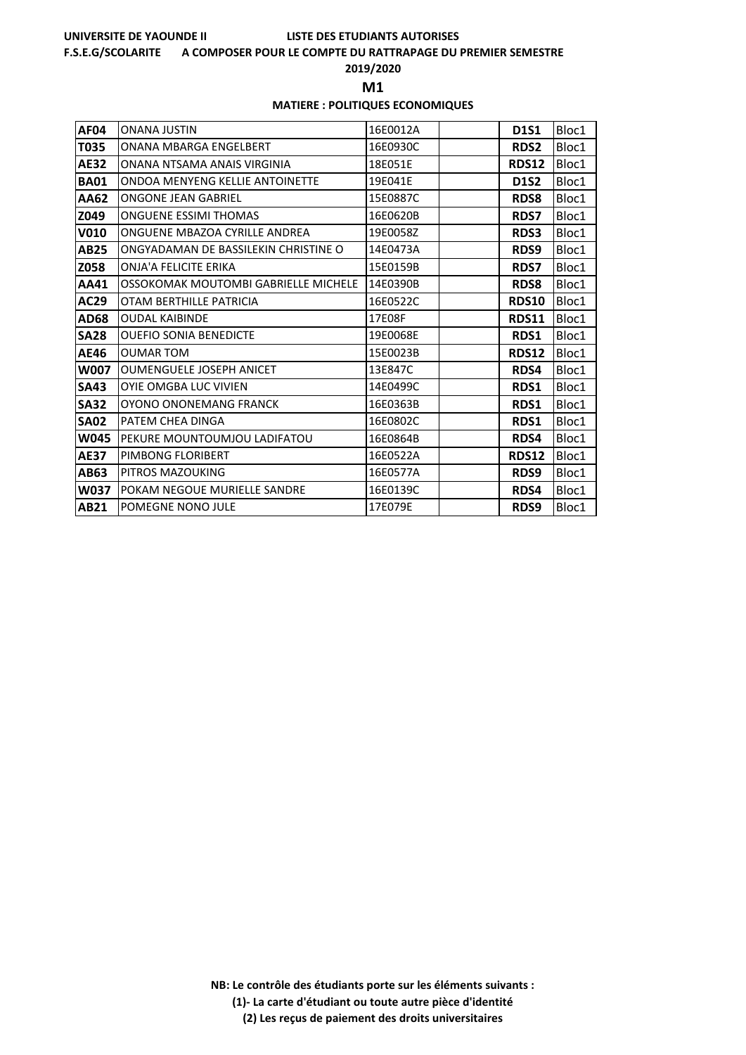### **F.S.E.G/SCOLARITE A COMPOSER POUR LE COMPTE DU RATTRAPAGE DU PREMIER SEMESTRE**

**2019/2020**

**M1** 

### **MATIERE : POLITIQUES ECONOMIQUES**

| AF04        | <b>ONANA JUSTIN</b>                  | 16E0012A | <b>D1S1</b>  | Bloc1 |
|-------------|--------------------------------------|----------|--------------|-------|
| T035        | ONANA MBARGA ENGELBERT               | 16E0930C | <b>RDS2</b>  | Bloc1 |
| <b>AE32</b> | ONANA NTSAMA ANAIS VIRGINIA          | 18E051E  | <b>RDS12</b> | Bloc1 |
| <b>BA01</b> | ONDOA MENYENG KELLIE ANTOINETTE      | 19E041E  | <b>D1S2</b>  | Bloc1 |
| AA62        | <b>ONGONE JEAN GABRIEL</b>           | 15E0887C | <b>RDS8</b>  | Bloc1 |
| Z049        | ONGUENE ESSIMI THOMAS                | 16E0620B | <b>RDS7</b>  | Bloc1 |
| V010        | ONGUENE MBAZOA CYRILLE ANDREA        | 19E0058Z | RDS3         | Bloc1 |
| AB25        | ONGYADAMAN DE BASSILEKIN CHRISTINE O | 14E0473A | RDS9         | Bloc1 |
| Z058        | ONJA'A FELICITE ERIKA                | 15E0159B | <b>RDS7</b>  | Bloc1 |
| AA41        | OSSOKOMAK MOUTOMBI GABRIELLE MICHELE | 14E0390B | <b>RDS8</b>  | Bloc1 |
| AC29        | OTAM BERTHILLE PATRICIA              | 16E0522C | <b>RDS10</b> | Bloc1 |
| <b>AD68</b> | <b>OUDAL KAIBINDE</b>                | 17E08F   | <b>RDS11</b> | Bloc1 |
| <b>SA28</b> | <b>OUEFIO SONIA BENEDICTE</b>        | 19E0068E | RDS1         | Bloc1 |
| AE46        | <b>OUMAR TOM</b>                     | 15E0023B | <b>RDS12</b> | Bloc1 |
| <b>W007</b> | <b>OUMENGUELE JOSEPH ANICET</b>      | 13E847C  | RDS4         | Bloc1 |
| <b>SA43</b> | <b>OYIE OMGBA LUC VIVIEN</b>         | 14E0499C | RDS1         | Bloc1 |
| <b>SA32</b> | OYONO ONONEMANG FRANCK               | 16E0363B | RDS1         | Bloc1 |
| <b>SA02</b> | PATEM CHEA DINGA                     | 16E0802C | RDS1         | Bloc1 |
| W045        | PEKURE MOUNTOUMJOU LADIFATOU         | 16E0864B | RDS4         | Bloc1 |
| <b>AE37</b> | PIMBONG FLORIBERT                    | 16E0522A | <b>RDS12</b> | Bloc1 |
| AB63        | PITROS MAZOUKING                     | 16E0577A | RDS9         | Bloc1 |
| W037        | POKAM NEGOUE MURIELLE SANDRE         | 16E0139C | RDS4         | Bloc1 |
| AB21        | POMEGNE NONO JULE                    | 17E079E  | RDS9         | Bloc1 |

**NB: Le contrôle des étudiants porte sur les éléments suivants : (1)- La carte d'étudiant ou toute autre pièce d'identité**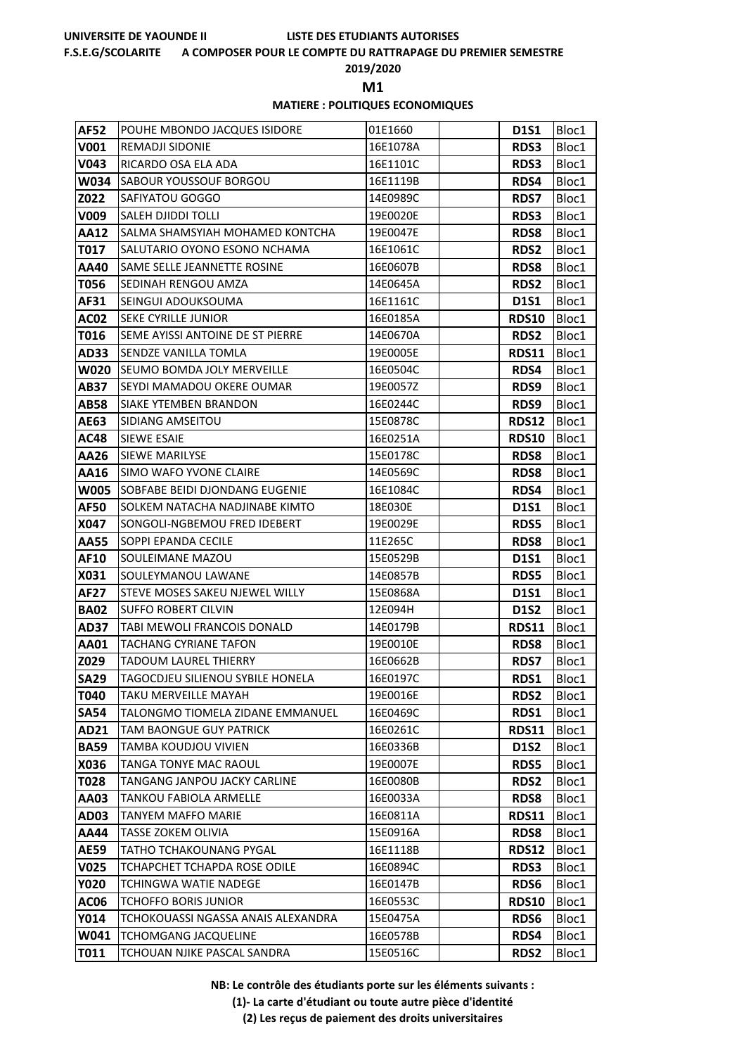### **F.S.E.G/SCOLARITE A COMPOSER POUR LE COMPTE DU RATTRAPAGE DU PREMIER SEMESTRE**

**2019/2020**

**M1** 

### **MATIERE : POLITIQUES ECONOMIQUES**

| <b>AF52</b> | POUHE MBONDO JACQUES ISIDORE       | 01E1660  | <b>D1S1</b>  | Bloc1 |
|-------------|------------------------------------|----------|--------------|-------|
| V001        | <b>REMADJI SIDONIE</b>             | 16E1078A | <b>RDS3</b>  | Bloc1 |
| V043        | RICARDO OSA ELA ADA                | 16E1101C | RDS3         | Bloc1 |
| W034        | <b>SABOUR YOUSSOUF BORGOU</b>      | 16E1119B | RDS4         | Bloc1 |
| Z022        | SAFIYATOU GOGGO                    | 14E0989C | <b>RDS7</b>  | Bloc1 |
| V009        | <b>SALEH DJIDDI TOLLI</b>          | 19E0020E | <b>RDS3</b>  | Bloc1 |
| <b>AA12</b> | SALMA SHAMSYIAH MOHAMED KONTCHA    | 19E0047E | <b>RDS8</b>  | Bloc1 |
| T017        | SALUTARIO OYONO ESONO NCHAMA       | 16E1061C | <b>RDS2</b>  | Bloc1 |
| AA40        | <b>SAME SELLE JEANNETTE ROSINE</b> | 16E0607B | <b>RDS8</b>  | Bloc1 |
| T056        | SEDINAH RENGOU AMZA                | 14E0645A | <b>RDS2</b>  | Bloc1 |
| AF31        | SEINGUI ADOUKSOUMA                 | 16E1161C | <b>D1S1</b>  | Bloc1 |
| AC02        | SEKE CYRILLE JUNIOR                | 16E0185A | <b>RDS10</b> | Bloc1 |
| T016        | SEME AYISSI ANTOINE DE ST PIERRE   | 14E0670A | <b>RDS2</b>  | Bloc1 |
| AD33        | SENDZE VANILLA TOMLA               | 19E0005E | <b>RDS11</b> | Bloc1 |
| <b>W020</b> | <b>SEUMO BOMDA JOLY MERVEILLE</b>  | 16E0504C | RDS4         | Bloc1 |
| AB37        | SEYDI MAMADOU OKERE OUMAR          | 19E0057Z | RDS9         | Bloc1 |
| <b>AB58</b> | <b>SIAKE YTEMBEN BRANDON</b>       | 16E0244C | RDS9         | Bloc1 |
| AE63        | <b>SIDIANG AMSEITOU</b>            | 15E0878C | <b>RDS12</b> | Bloc1 |
| AC48        | SIEWE ESAIE                        | 16E0251A | <b>RDS10</b> | Bloc1 |
| AA26        | <b>SIEWE MARILYSE</b>              | 15E0178C | <b>RDS8</b>  | Bloc1 |
| AA16        | SIMO WAFO YVONE CLAIRE             | 14E0569C | <b>RDS8</b>  | Bloc1 |
| <b>W005</b> | SOBFABE BEIDI DJONDANG EUGENIE     | 16E1084C | RDS4         | Bloc1 |
| AF50        | SOLKEM NATACHA NADJINABE KIMTO     | 18E030E  | <b>D1S1</b>  | Bloc1 |
| X047        | SONGOLI-NGBEMOU FRED IDEBERT       | 19E0029E | <b>RDS5</b>  | Bloc1 |
| AA55        | SOPPI EPANDA CECILE                | 11E265C  | <b>RDS8</b>  | Bloc1 |
| AF10        | SOULEIMANE MAZOU                   | 15E0529B | <b>D1S1</b>  | Bloc1 |
| X031        | SOULEYMANOU LAWANE                 | 14E0857B | <b>RDS5</b>  | Bloc1 |
| AF27        | STEVE MOSES SAKEU NJEWEL WILLY     | 15E0868A | <b>D1S1</b>  | Bloc1 |
| <b>BA02</b> | <b>SUFFO ROBERT CILVIN</b>         | 12E094H  | <b>D1S2</b>  | Bloc1 |
| AD37        | TABI MEWOLI FRANCOIS DONALD        | 14E0179B | <b>RDS11</b> | Bloc1 |
| AA01        | <b>TACHANG CYRIANE TAFON</b>       | 19E0010E | <b>RDS8</b>  | Bloc1 |
| Z029        | <b>TADOUM LAUREL THIERRY</b>       | 16E0662B | <b>RDS7</b>  | Bloc1 |
| <b>SA29</b> | TAGOCDJEU SILIENOU SYBILE HONELA   | 16E0197C | RDS1         | Bloc1 |
| T040        | TAKU MERVEILLE MAYAH               | 19E0016E | <b>RDS2</b>  | Bloc1 |
| <b>SA54</b> | TALONGMO TIOMELA ZIDANE EMMANUEL   | 16E0469C | RDS1         | Bloc1 |
| AD21        | TAM BAONGUE GUY PATRICK            | 16E0261C | <b>RDS11</b> | Bloc1 |
| <b>BA59</b> | TAMBA KOUDJOU VIVIEN               | 16E0336B | <b>D1S2</b>  | Bloc1 |
| X036        | TANGA TONYE MAC RAOUL              | 19E0007E | <b>RDS5</b>  | Bloc1 |
| T028        | TANGANG JANPOU JACKY CARLINE       | 16E0080B | <b>RDS2</b>  | Bloc1 |
| AA03        | <b>TANKOU FABIOLA ARMELLE</b>      | 16E0033A | <b>RDS8</b>  | Bloc1 |
| AD03        | <b>TANYEM MAFFO MARIE</b>          | 16E0811A | <b>RDS11</b> | Bloc1 |
| AA44        | TASSE ZOKEM OLIVIA                 | 15E0916A | <b>RDS8</b>  | Bloc1 |
| <b>AE59</b> | TATHO TCHAKOUNANG PYGAL            | 16E1118B | RDS12        | Bloc1 |
| V025        | TCHAPCHET TCHAPDA ROSE ODILE       | 16E0894C | <b>RDS3</b>  | Bloc1 |
| <b>Y020</b> | <b>TCHINGWA WATIE NADEGE</b>       | 16E0147B | RDS6         | Bloc1 |
| <b>AC06</b> | <b>TCHOFFO BORIS JUNIOR</b>        | 16E0553C | <b>RDS10</b> | Bloc1 |
| Y014        | TCHOKOUASSI NGASSA ANAIS ALEXANDRA | 15E0475A | RDS6         | Bloc1 |
| W041        | <b>TCHOMGANG JACQUELINE</b>        | 16E0578B | RDS4         | Bloc1 |
| T011        | TCHOUAN NJIKE PASCAL SANDRA        | 15E0516C | <b>RDS2</b>  | Bloc1 |

**NB: Le contrôle des étudiants porte sur les éléments suivants :**

**(1)- La carte d'étudiant ou toute autre pièce d'identité**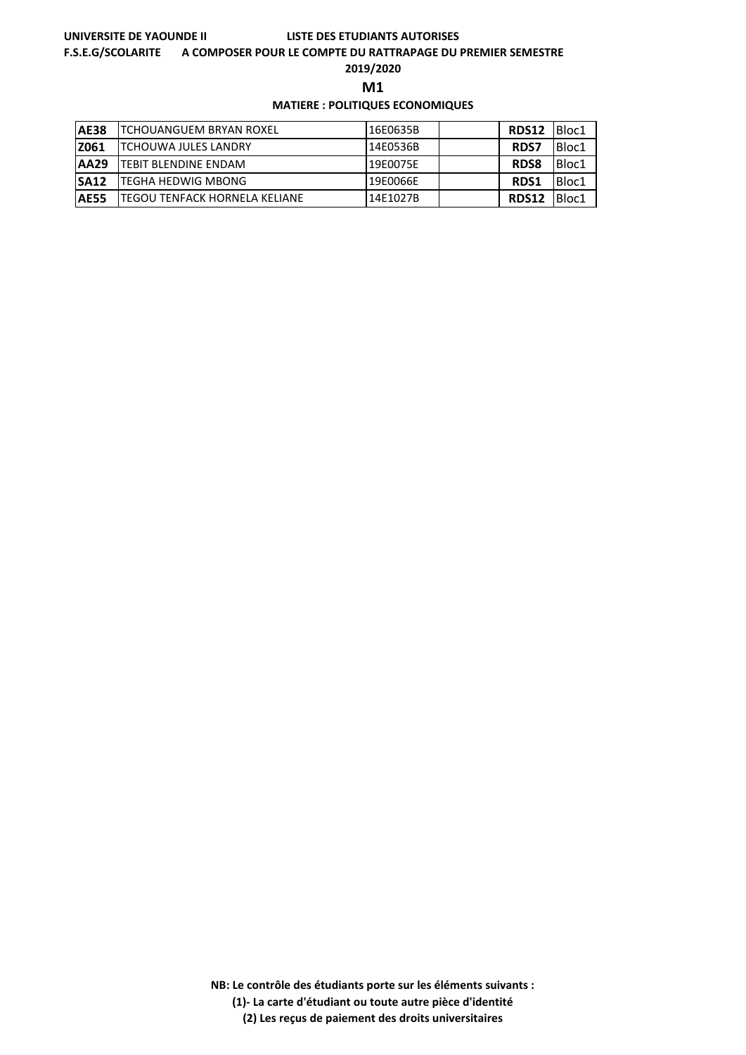### **F.S.E.G/SCOLARITE A COMPOSER POUR LE COMPTE DU RATTRAPAGE DU PREMIER SEMESTRE**

**2019/2020**

**M1** 

## **MATIERE : POLITIQUES ECONOMIQUES**

| <b>AE38</b> | <b>ITCHOUANGUEM BRYAN ROXEL</b>       | 16E0635B | <b>RDS12</b> | <b>Bloc1</b> |
|-------------|---------------------------------------|----------|--------------|--------------|
| Z061        | <b>ITCHOUWA JULES LANDRY</b>          | 14E0536B | <b>RDS7</b>  | Bloc1        |
| <b>AA29</b> | <b>ITEBIT BLENDINE ENDAM</b>          | 19E0075E | <b>RDS8</b>  | Bloc1        |
| <b>SA12</b> | <b>ITEGHA HEDWIG MBONG</b>            | 19E0066E | <b>RDS1</b>  | Bloc1        |
| <b>AE55</b> | <b>ITEGOU TENFACK HORNELA KELIANE</b> | 14E1027B | <b>RDS12</b> | Bloc1        |

**NB: Le contrôle des étudiants porte sur les éléments suivants :**

**(1)- La carte d'étudiant ou toute autre pièce d'identité**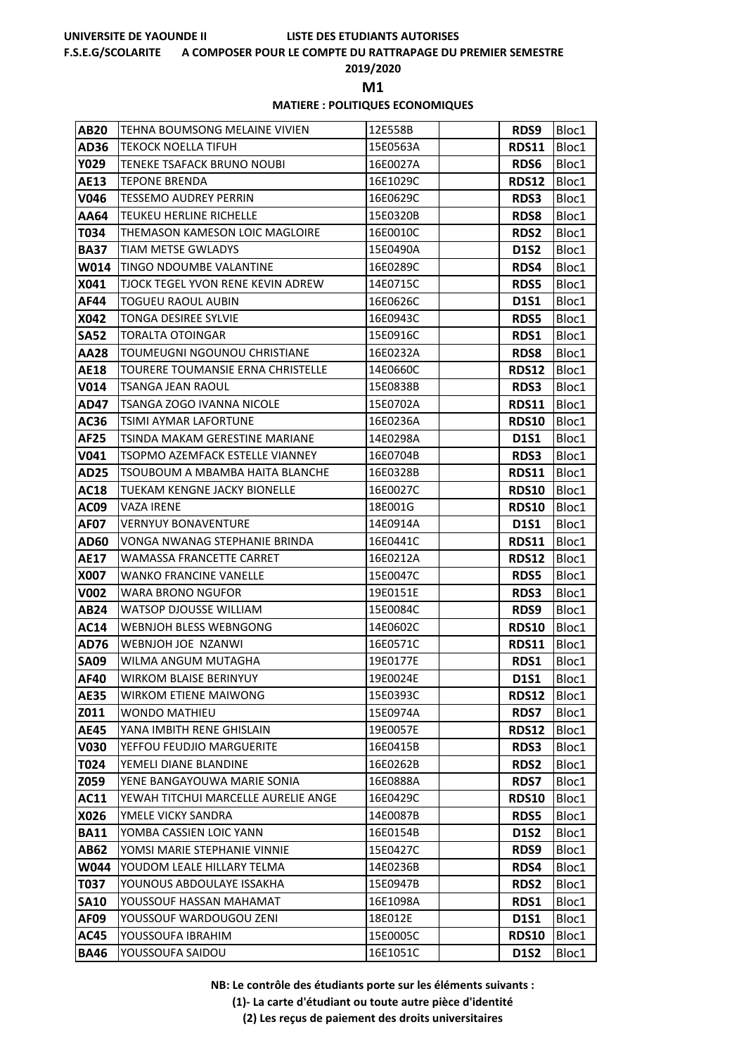### **F.S.E.G/SCOLARITE A COMPOSER POUR LE COMPTE DU RATTRAPAGE DU PREMIER SEMESTRE**

**2019/2020**

**M1** 

### **MATIERE : POLITIQUES ECONOMIQUES**

| <b>AB20</b> | TEHNA BOUMSONG MELAINE VIVIEN            | 12E558B  | RDS9         | Bloc1 |
|-------------|------------------------------------------|----------|--------------|-------|
| <b>AD36</b> | TEKOCK NOELLA TIFUH                      | 15E0563A | <b>RDS11</b> | Bloc1 |
| <b>Y029</b> | TENEKE TSAFACK BRUNO NOUBI               | 16E0027A | RDS6         | Bloc1 |
| AE13        | <b>TEPONE BRENDA</b>                     | 16E1029C | <b>RDS12</b> | Bloc1 |
| V046        | <b>TESSEMO AUDREY PERRIN</b>             | 16E0629C | <b>RDS3</b>  | Bloc1 |
| AA64        | TEUKEU HERLINE RICHELLE                  | 15E0320B | <b>RDS8</b>  | Bloc1 |
| T034        | THEMASON KAMESON LOIC MAGLOIRE           | 16E0010C | <b>RDS2</b>  | Bloc1 |
| <b>BA37</b> | <b>TIAM METSE GWLADYS</b>                | 15E0490A | <b>D1S2</b>  | Bloc1 |
| W014        | TINGO NDOUMBE VALANTINE                  | 16E0289C | RDS4         | Bloc1 |
| X041        | <b>TJOCK TEGEL YVON RENE KEVIN ADREW</b> | 14E0715C | <b>RDS5</b>  | Bloc1 |
| AF44        | <b>TOGUEU RAOUL AUBIN</b>                | 16E0626C | <b>D1S1</b>  | Bloc1 |
| X042        | TONGA DESIREE SYLVIE                     | 16E0943C | <b>RDS5</b>  | Bloc1 |
| <b>SA52</b> | TORALTA OTOINGAR                         | 15E0916C | RDS1         | Bloc1 |
| <b>AA28</b> | TOUMEUGNI NGOUNOU CHRISTIANE             | 16E0232A | <b>RDS8</b>  | Bloc1 |
| <b>AE18</b> | TOURERE TOUMANSIE ERNA CHRISTELLE        | 14E0660C | <b>RDS12</b> | Bloc1 |
| V014        | TSANGA JEAN RAOUL                        | 15E0838B | <b>RDS3</b>  | Bloc1 |
| AD47        | TSANGA ZOGO IVANNA NICOLE                | 15E0702A | <b>RDS11</b> | Bloc1 |
| AC36        | TSIMI AYMAR LAFORTUNE                    | 16E0236A | <b>RDS10</b> | Bloc1 |
| <b>AF25</b> | TSINDA MAKAM GERESTINE MARIANE           | 14E0298A | <b>D1S1</b>  | Bloc1 |
| V041        | TSOPMO AZEMFACK ESTELLE VIANNEY          | 16E0704B | <b>RDS3</b>  | Bloc1 |
| <b>AD25</b> | TSOUBOUM A MBAMBA HAITA BLANCHE          | 16E0328B | <b>RDS11</b> | Bloc1 |
| <b>AC18</b> | TUEKAM KENGNE JACKY BIONELLE             | 16E0027C | <b>RDS10</b> | Bloc1 |
| AC09        | VAZA IRENE                               | 18E001G  | <b>RDS10</b> | Bloc1 |
| <b>AF07</b> | <b>VERNYUY BONAVENTURE</b>               | 14E0914A | <b>D1S1</b>  | Bloc1 |
| AD60        | VONGA NWANAG STEPHANIE BRINDA            | 16E0441C | <b>RDS11</b> | Bloc1 |
| AE17        | WAMASSA FRANCETTE CARRET                 | 16E0212A | <b>RDS12</b> | Bloc1 |
| X007        | <b>WANKO FRANCINE VANELLE</b>            | 15E0047C | <b>RDS5</b>  | Bloc1 |
| V002        | WARA BRONO NGUFOR                        | 19E0151E | RDS3         | Bloc1 |
| AB24        | WATSOP DJOUSSE WILLIAM                   | 15E0084C | RDS9         | Bloc1 |
| <b>AC14</b> | <b>WEBNJOH BLESS WEBNGONG</b>            | 14E0602C | <b>RDS10</b> | Bloc1 |
| AD76        | WEBNJOH JOE NZANWI                       | 16E0571C | <b>RDS11</b> | Bloc1 |
| <b>SA09</b> | WILMA ANGUM MUTAGHA                      | 19E0177E | RDS1         | Bloc1 |
| AF40        | <b>WIRKOM BLAISE BERINYUY</b>            | 19E0024E | <b>D1S1</b>  | Bloc1 |
| <b>AE35</b> | <b>WIRKOM ETIENE MAIWONG</b>             | 15E0393C | <b>RDS12</b> | Bloc1 |
| Z011        | <b>WONDO MATHIEU</b>                     | 15E0974A | <b>RDS7</b>  | Bloc1 |
| <b>AE45</b> | YANA IMBITH RENE GHISLAIN                | 19E0057E | <b>RDS12</b> | Bloc1 |
| <b>V030</b> | YEFFOU FEUDJIO MARGUERITE                | 16E0415B | <b>RDS3</b>  | Bloc1 |
| T024        | YEMELI DIANE BLANDINE                    | 16E0262B | <b>RDS2</b>  | Bloc1 |
| Z059        | YENE BANGAYOUWA MARIE SONIA              | 16E0888A | <b>RDS7</b>  | Bloc1 |
| <b>AC11</b> | YEWAH TITCHUI MARCELLE AURELIE ANGE      | 16E0429C | <b>RDS10</b> | Bloc1 |
| X026        | YMELE VICKY SANDRA                       | 14E0087B | <b>RDS5</b>  | Bloc1 |
| <b>BA11</b> | YOMBA CASSIEN LOIC YANN                  | 16E0154B | <b>D1S2</b>  | Bloc1 |
| <b>AB62</b> | YOMSI MARIE STEPHANIE VINNIE             | 15E0427C | RDS9         | Bloc1 |
| W044        | YOUDOM LEALE HILLARY TELMA               | 14E0236B | RDS4         | Bloc1 |
| T037        | YOUNOUS ABDOULAYE ISSAKHA                | 15E0947B | <b>RDS2</b>  | Bloc1 |
| <b>SA10</b> | YOUSSOUF HASSAN MAHAMAT                  | 16E1098A | RDS1         | Bloc1 |
| AF09        | YOUSSOUF WARDOUGOU ZENI                  | 18E012E  | <b>D1S1</b>  | Bloc1 |
| <b>AC45</b> | YOUSSOUFA IBRAHIM                        | 15E0005C | <b>RDS10</b> | Bloc1 |
| <b>BA46</b> | YOUSSOUFA SAIDOU                         | 16E1051C | <b>D1S2</b>  | Bloc1 |

**NB: Le contrôle des étudiants porte sur les éléments suivants :**

**(1)- La carte d'étudiant ou toute autre pièce d'identité**